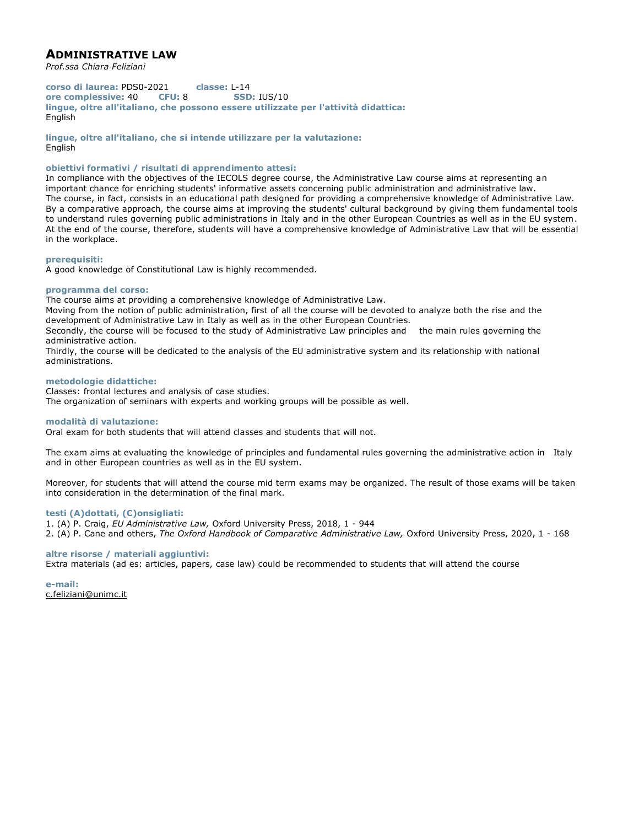# **ADMINISTRATIVE LAW**

*Prof.ssa Chiara Feliziani*

**corso di laurea:** PDS0-2021 **classe:** L-14 **ore complessive:** 40 **CFU:** 8 **SSD:** IUS/10 **lingue, oltre all'italiano, che possono essere utilizzate per l'attività didattica:** English

**lingue, oltre all'italiano, che si intende utilizzare per la valutazione:** English

## **obiettivi formativi / risultati di apprendimento attesi:**

In compliance with the objectives of the IECOLS degree course, the Administrative Law course aims at representing an important chance for enriching students' informative assets concerning public administration and administrative law. The course, in fact, consists in an educational path designed for providing a comprehensive knowledge of Administrative Law. By a comparative approach, the course aims at improving the students' cultural background by giving them fundamental tools to understand rules governing public administrations in Italy and in the other European Countries as well as in the EU system. At the end of the course, therefore, students will have a comprehensive knowledge of Administrative Law that will be essential in the workplace.

## **prerequisiti:**

A good knowledge of Constitutional Law is highly recommended.

## **programma del corso:**

The course aims at providing a comprehensive knowledge of Administrative Law.

Moving from the notion of public administration, first of all the course will be devoted to analyze both the rise and the development of Administrative Law in Italy as well as in the other European Countries.

Secondly, the course will be focused to the study of Administrative Law principles and the main rules governing the administrative action.

Thirdly, the course will be dedicated to the analysis of the EU administrative system and its relationship with national administrations.

## **metodologie didattiche:**

Classes: frontal lectures and analysis of case studies. The organization of seminars with experts and working groups will be possible as well.

## **modalità di valutazione:**

Oral exam for both students that will attend classes and students that will not.

The exam aims at evaluating the knowledge of principles and fundamental rules governing the administrative action in Italy and in other European countries as well as in the EU system.

Moreover, for students that will attend the course mid term exams may be organized. The result of those exams will be taken into consideration in the determination of the final mark.

## **testi (A)dottati, (C)onsigliati:**

1. (A) P. Craig, *EU Administrative Law,* Oxford University Press, 2018, 1 - 944 2. (A) P. Cane and others, *The Oxford Handbook of Comparative Administrative Law,* Oxford University Press, 2020, 1 - 168

## **altre risorse / materiali aggiuntivi:**

Extra materials (ad es: articles, papers, case law) could be recommended to students that will attend the course

**e-mail:** c.feliziani@unimc.it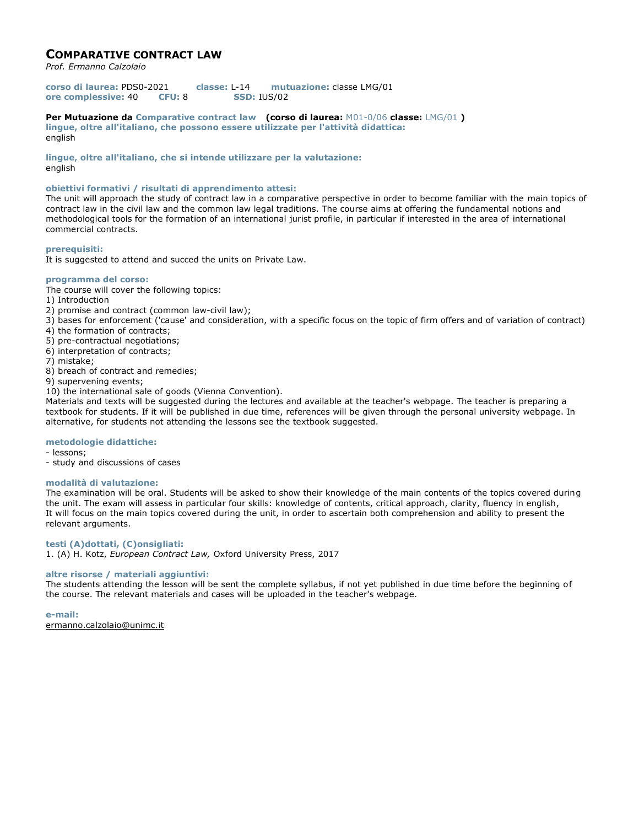## **COMPARATIVE CONTRACT LAW**

*Prof. Ermanno Calzolaio*

**corso di laurea:** PDS0-2021 **classe:** L-14 **mutuazione:** classe LMG/01 **ore complessive:** 40 **CFU:** 8 **SSD:** IUS/02

**Per Mutuazione da Comparative contract law (corso di laurea:** M01-0/06 **classe:** LMG/01 **) lingue, oltre all'italiano, che possono essere utilizzate per l'attività didattica:** english

**lingue, oltre all'italiano, che si intende utilizzare per la valutazione:** english

## **obiettivi formativi / risultati di apprendimento attesi:**

The unit will approach the study of contract law in a comparative perspective in order to become familiar with the main topics of contract law in the civil law and the common law legal traditions. The course aims at offering the fundamental notions and methodological tools for the formation of an international jurist profile, in particular if interested in the area of international commercial contracts.

## **prerequisiti:**

It is suggested to attend and succed the units on Private Law.

## **programma del corso:**

The course will cover the following topics:

- 1) Introduction
- 2) promise and contract (common law-civil law);
- 3) bases for enforcement ('cause' and consideration, with a specific focus on the topic of firm offers and of variation of contract)
- 4) the formation of contracts;
- 5) pre-contractual negotiations;
- 6) interpretation of contracts;
- 7) mistake;
- 8) breach of contract and remedies;
- 9) supervening events;
- 10) the international sale of goods (Vienna Convention).

Materials and texts will be suggested during the lectures and available at the teacher's webpage. The teacher is preparing a textbook for students. If it will be published in due time, references will be given through the personal university webpage. In alternative, for students not attending the lessons see the textbook suggested.

## **metodologie didattiche:**

- lessons;
- study and discussions of cases

## **modalità di valutazione:**

The examination will be oral. Students will be asked to show their knowledge of the main contents of the topics covered during the unit. The exam will assess in particular four skills: knowledge of contents, critical approach, clarity, fluency in english, It will focus on the main topics covered during the unit, in order to ascertain both comprehension and ability to present the relevant arguments.

## **testi (A)dottati, (C)onsigliati:**

1. (A) H. Kotz, *European Contract Law,* Oxford University Press, 2017

## **altre risorse / materiali aggiuntivi:**

The students attending the lesson will be sent the complete syllabus, if not yet published in due time before the beginning of the course. The relevant materials and cases will be uploaded in the teacher's webpage.

**e-mail:** ermanno.calzolaio@unimc.it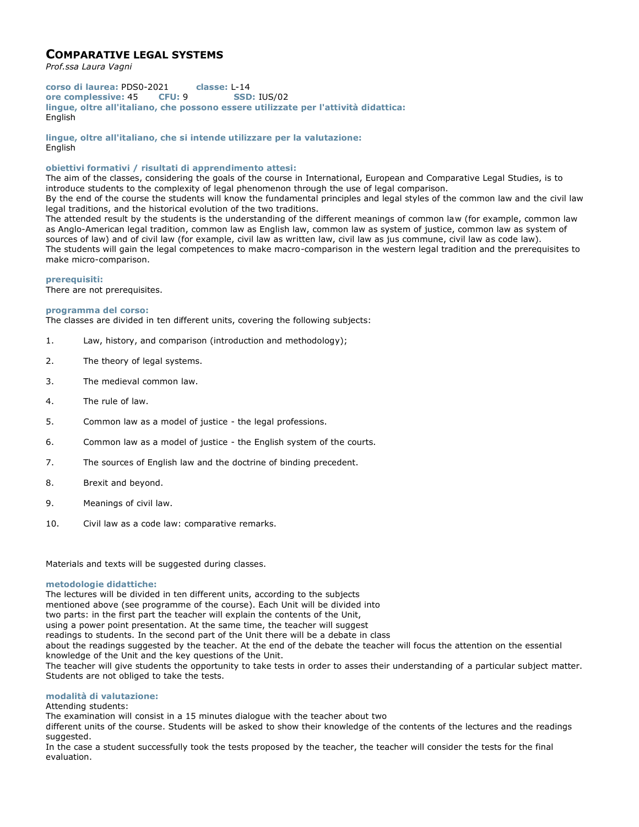# **COMPARATIVE LEGAL SYSTEMS**

*Prof.ssa Laura Vagni*

**corso di laurea:** PDS0-2021 **classe:** L-14 **ore complessive:** 45 **CFU:** 9 **SSD:** IUS/02 **lingue, oltre all'italiano, che possono essere utilizzate per l'attività didattica:** English

**lingue, oltre all'italiano, che si intende utilizzare per la valutazione:** English

## **obiettivi formativi / risultati di apprendimento attesi:**

The aim of the classes, considering the goals of the course in International, European and Comparative Legal Studies, is to introduce students to the complexity of legal phenomenon through the use of legal comparison.

By the end of the course the students will know the fundamental principles and legal styles of the common law and the civil law legal traditions, and the historical evolution of the two traditions.

The attended result by the students is the understanding of the different meanings of common law (for example, common law as Anglo-American legal tradition, common law as English law, common law as system of justice, common law as system of sources of law) and of civil law (for example, civil law as written law, civil law as jus commune, civil law as code law). The students will gain the legal competences to make macro-comparison in the western legal tradition and the prerequisites to make micro-comparison.

## **prerequisiti:**

There are not prerequisites.

## **programma del corso:**

The classes are divided in ten different units, covering the following subjects:

- 1. Law, history, and comparison (introduction and methodology);
- 2. The theory of legal systems.
- 3. The medieval common law.
- 4. The rule of law.
- 5. Common law as a model of justice the legal professions.
- 6. Common law as a model of justice the English system of the courts.
- 7. The sources of English law and the doctrine of binding precedent.
- 8. Brexit and beyond.
- 9. Meanings of civil law.
- 10. Civil law as a code law: comparative remarks.

Materials and texts will be suggested during classes.

## **metodologie didattiche:**

The lectures will be divided in ten different units, according to the subjects mentioned above (see programme of the course). Each Unit will be divided into two parts: in the first part the teacher will explain the contents of the Unit, using a power point presentation. At the same time, the teacher will suggest readings to students. In the second part of the Unit there will be a debate in class about the readings suggested by the teacher. At the end of the debate the teacher will focus the attention on the essential knowledge of the Unit and the key questions of the Unit. The teacher will give students the opportunity to take tests in order to asses their understanding of a particular subject matter. Students are not obliged to take the tests.

## **modalità di valutazione:**

Attending students:

The examination will consist in a 15 minutes dialogue with the teacher about two

different units of the course. Students will be asked to show their knowledge of the contents of the lectures and the readings suggested.

In the case a student successfully took the tests proposed by the teacher, the teacher will consider the tests for the final evaluation.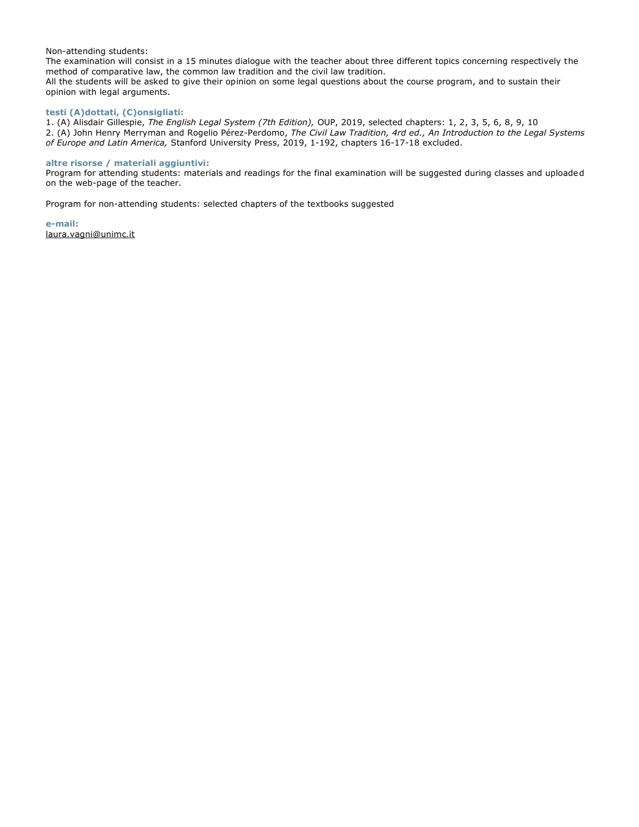## Non-attending students:

The examination will consist in a 15 minutes dialogue with the teacher about three different topics concerning respectively the method of comparative law, the common law tradition and the civil law tradition. All the students will be asked to give their opinion on some legal questions about the course program, and to sustain their opinion with legal arguments.

## **testi (A)dottati, (C)onsigliati:**

1. (A) Alisdair Gillespie, *The English Legal System (7th Edition),* OUP, 2019, selected chapters: 1, 2, 3, 5, 6, 8, 9, 10 2. (A) John Henry Merryman and Rogelio Pérez-Perdomo, *The Civil Law Tradition, 4rd ed., An Introduction to the Legal Systems of Europe and Latin America,* Stanford University Press, 2019, 1-192, chapters 16-17-18 excluded.

## **altre risorse / materiali aggiuntivi:**

Program for attending students: materials and readings for the final examination will be suggested during classes and uploaded on the web-page of the teacher.

Program for non-attending students: selected chapters of the textbooks suggested

**e-mail:** laura.vagni@unimc.it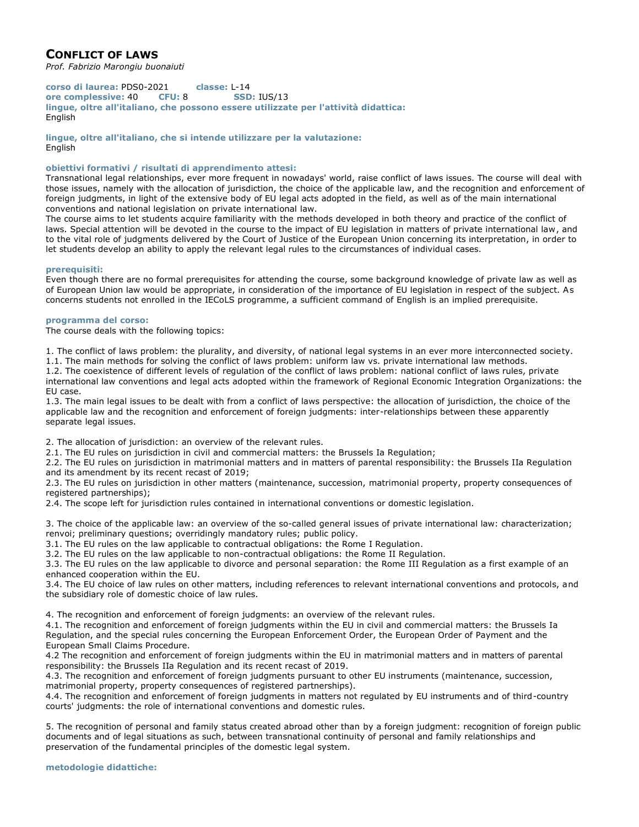# **CONFLICT OF LAWS**

*Prof. Fabrizio Marongiu buonaiuti*

**corso di laurea:** PDS0-2021 **classe:** L-14 **ore complessive:** 40 **CFU:** 8 **SSD:** IUS/13 **lingue, oltre all'italiano, che possono essere utilizzate per l'attività didattica:** English

**lingue, oltre all'italiano, che si intende utilizzare per la valutazione:** English

## **obiettivi formativi / risultati di apprendimento attesi:**

Transnational legal relationships, ever more frequent in nowadays' world, raise conflict of laws issues. The course will deal with those issues, namely with the allocation of jurisdiction, the choice of the applicable law, and the recognition and enforcement of foreign judgments, in light of the extensive body of EU legal acts adopted in the field, as well as of the main international conventions and national legislation on private international law.

The course aims to let students acquire familiarity with the methods developed in both theory and practice of the conflict of laws. Special attention will be devoted in the course to the impact of EU legislation in matters of private international law, and to the vital role of judgments delivered by the Court of Justice of the European Union concerning its interpretation, in order to let students develop an ability to apply the relevant legal rules to the circumstances of individual cases.

#### **prerequisiti:**

Even though there are no formal prerequisites for attending the course, some background knowledge of private law as well as of European Union law would be appropriate, in consideration of the importance of EU legislation in respect of the subject. As concerns students not enrolled in the IECoLS programme, a sufficient command of English is an implied prerequisite.

## **programma del corso:**

The course deals with the following topics:

1. The conflict of laws problem: the plurality, and diversity, of national legal systems in an ever more interconnected society. 1.1. The main methods for solving the conflict of laws problem: uniform law vs. private international law methods.

1.2. The coexistence of different levels of regulation of the conflict of laws problem: national conflict of laws rules, private

international law conventions and legal acts adopted within the framework of Regional Economic Integration Organizations: the EU case.

1.3. The main legal issues to be dealt with from a conflict of laws perspective: the allocation of jurisdiction, the choice of the applicable law and the recognition and enforcement of foreign judgments: inter-relationships between these apparently separate legal issues.

2. The allocation of jurisdiction: an overview of the relevant rules.

2.1. The EU rules on jurisdiction in civil and commercial matters: the Brussels Ia Regulation;

2.2. The EU rules on jurisdiction in matrimonial matters and in matters of parental responsibility: the Brussels IIa Regulation and its amendment by its recent recast of 2019;

2.3. The EU rules on jurisdiction in other matters (maintenance, succession, matrimonial property, property consequences of registered partnerships);

2.4. The scope left for jurisdiction rules contained in international conventions or domestic legislation.

3. The choice of the applicable law: an overview of the so-called general issues of private international law: characterization; renvoi; preliminary questions; overridingly mandatory rules; public policy.

3.1. The EU rules on the law applicable to contractual obligations: the Rome I Regulation.

3.2. The EU rules on the law applicable to non-contractual obligations: the Rome II Regulation.

3.3. The EU rules on the law applicable to divorce and personal separation: the Rome III Regulation as a first example of an enhanced cooperation within the EU.

3.4. The EU choice of law rules on other matters, including references to relevant international conventions and protocols, and the subsidiary role of domestic choice of law rules.

4. The recognition and enforcement of foreign judgments: an overview of the relevant rules.

4.1. The recognition and enforcement of foreign judgments within the EU in civil and commercial matters: the Brussels Ia Regulation, and the special rules concerning the European Enforcement Order, the European Order of Payment and the European Small Claims Procedure.

4.2 The recognition and enforcement of foreign judgments within the EU in matrimonial matters and in matters of parental responsibility: the Brussels IIa Regulation and its recent recast of 2019.

4.3. The recognition and enforcement of foreign judgments pursuant to other EU instruments (maintenance, succession, matrimonial property, property consequences of registered partnerships).

4.4. The recognition and enforcement of foreign judgments in matters not regulated by EU instruments and of third-country courts' judgments: the role of international conventions and domestic rules.

5. The recognition of personal and family status created abroad other than by a foreign judgment: recognition of foreign public documents and of legal situations as such, between transnational continuity of personal and family relationships and preservation of the fundamental principles of the domestic legal system.

**metodologie didattiche:**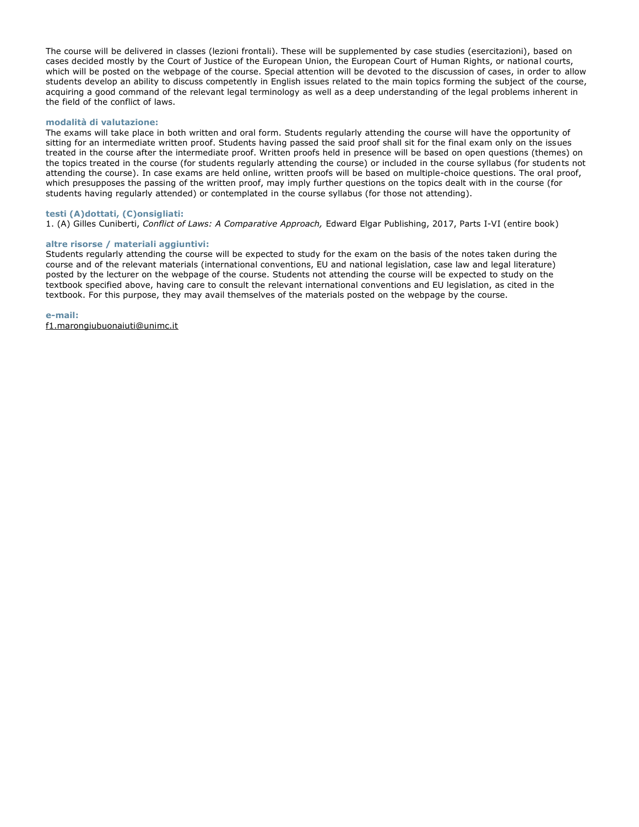The course will be delivered in classes (lezioni frontali). These will be supplemented by case studies (esercitazioni), based on cases decided mostly by the Court of Justice of the European Union, the European Court of Human Rights, or national courts, which will be posted on the webpage of the course. Special attention will be devoted to the discussion of cases, in order to allow students develop an ability to discuss competently in English issues related to the main topics forming the subject of the course, acquiring a good command of the relevant legal terminology as well as a deep understanding of the legal problems inherent in the field of the conflict of laws.

## **modalità di valutazione:**

The exams will take place in both written and oral form. Students regularly attending the course will have the opportunity of sitting for an intermediate written proof. Students having passed the said proof shall sit for the final exam only on the issues treated in the course after the intermediate proof. Written proofs held in presence will be based on open questions (themes) on the topics treated in the course (for students regularly attending the course) or included in the course syllabus (for students not attending the course). In case exams are held online, written proofs will be based on multiple-choice questions. The oral proof, which presupposes the passing of the written proof, may imply further questions on the topics dealt with in the course (for students having regularly attended) or contemplated in the course syllabus (for those not attending).

## **testi (A)dottati, (C)onsigliati:**

1. (A) Gilles Cuniberti, *Conflict of Laws: A Comparative Approach,* Edward Elgar Publishing, 2017, Parts I-VI (entire book)

## **altre risorse / materiali aggiuntivi:**

Students regularly attending the course will be expected to study for the exam on the basis of the notes taken during the course and of the relevant materials (international conventions, EU and national legislation, case law and legal literature) posted by the lecturer on the webpage of the course. Students not attending the course will be expected to study on the textbook specified above, having care to consult the relevant international conventions and EU legislation, as cited in the textbook. For this purpose, they may avail themselves of the materials posted on the webpage by the course.

#### **e-mail:**

f1.marongiubuonaiuti@unimc.it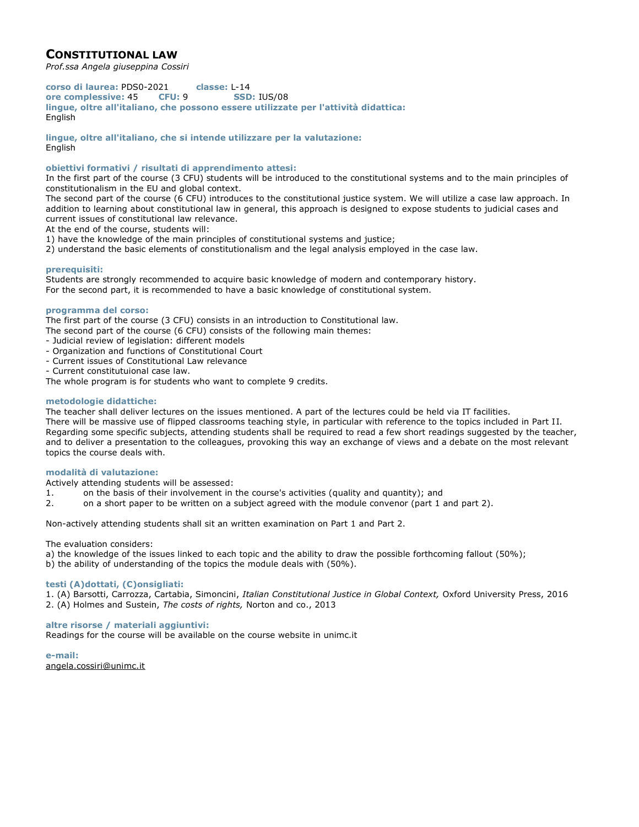# **CONSTITUTIONAL LAW**

*Prof.ssa Angela giuseppina Cossiri*

**corso di laurea:** PDS0-2021 **classe:** L-14 **ore complessive:** 45 **CFU:** 9 **SSD:** IUS/08 **lingue, oltre all'italiano, che possono essere utilizzate per l'attività didattica:** English

**lingue, oltre all'italiano, che si intende utilizzare per la valutazione:** English

**obiettivi formativi / risultati di apprendimento attesi:**

In the first part of the course (3 CFU) students will be introduced to the constitutional systems and to the main principles of constitutionalism in the EU and global context.

The second part of the course (6 CFU) introduces to the constitutional justice system. We will utilize a case law approach. In addition to learning about constitutional law in general, this approach is designed to expose students to judicial cases and current issues of constitutional law relevance.

- At the end of the course, students will:
- 1) have the knowledge of the main principles of constitutional systems and justice;
- 2) understand the basic elements of constitutionalism and the legal analysis employed in the case law.

## **prerequisiti:**

Students are strongly recommended to acquire basic knowledge of modern and contemporary history. For the second part, it is recommended to have a basic knowledge of constitutional system.

## **programma del corso:**

The first part of the course (3 CFU) consists in an introduction to Constitutional law.

The second part of the course (6 CFU) consists of the following main themes:

- Judicial review of legislation: different models
- Organization and functions of Constitutional Court
- Current issues of Constitutional Law relevance
- Current constitutuional case law.

The whole program is for students who want to complete 9 credits.

## **metodologie didattiche:**

The teacher shall deliver lectures on the issues mentioned. A part of the lectures could be held via IT facilities. There will be massive use of flipped classrooms teaching style, in particular with reference to the topics included in Part II. Regarding some specific subjects, attending students shall be required to read a few short readings suggested by the teacher, and to deliver a presentation to the colleagues, provoking this way an exchange of views and a debate on the most relevant topics the course deals with.

## **modalità di valutazione:**

Actively attending students will be assessed:

- 1. on the basis of their involvement in the course's activities (quality and quantity); and
- 2. on a short paper to be written on a subject agreed with the module convenor (part 1 and part 2).

Non-actively attending students shall sit an written examination on Part 1 and Part 2.

The evaluation considers:

- a) the knowledge of the issues linked to each topic and the ability to draw the possible forthcoming fallout (50%);
- b) the ability of understanding of the topics the module deals with (50%).

## **testi (A)dottati, (C)onsigliati:**

1. (A) Barsotti, Carrozza, Cartabia, Simoncini, *Italian Constitutional Justice in Global Context,* Oxford University Press, 2016 2. (A) Holmes and Sustein, *The costs of rights,* Norton and co., 2013

## **altre risorse / materiali aggiuntivi:**

Readings for the course will be available on the course website in unimc.it

**e-mail:** angela.cossiri@unimc.it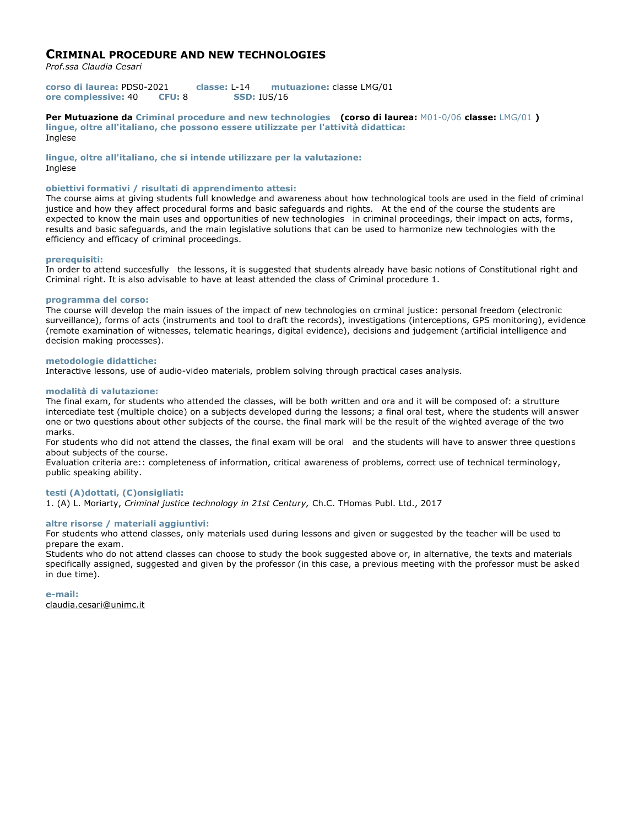## **CRIMINAL PROCEDURE AND NEW TECHNOLOGIES**

*Prof.ssa Claudia Cesari*

**corso di laurea:** PDS0-2021 **classe:** L-14 **mutuazione:** classe LMG/01 **ore complessive:** 40 **CFU:** 8 **SSD:** IUS/16

**Per Mutuazione da Criminal procedure and new technologies (corso di laurea:** M01-0/06 **classe:** LMG/01 **) lingue, oltre all'italiano, che possono essere utilizzate per l'attività didattica:** Inglese

**lingue, oltre all'italiano, che si intende utilizzare per la valutazione:** Inglese

## **obiettivi formativi / risultati di apprendimento attesi:**

The course aims at giving students full knowledge and awareness about how technological tools are used in the field of criminal justice and how they affect procedural forms and basic safeguards and rights. At the end of the course the students are expected to know the main uses and opportunities of new technologies in criminal proceedings, their impact on acts, forms, results and basic safeguards, and the main legislative solutions that can be used to harmonize new technologies with the efficiency and efficacy of criminal proceedings.

## **prerequisiti:**

In order to attend succesfully the lessons, it is suggested that students already have basic notions of Constitutional right and Criminal right. It is also advisable to have at least attended the class of Criminal procedure 1.

## **programma del corso:**

The course will develop the main issues of the impact of new technologies on crminal justice: personal freedom (electronic surveillance), forms of acts (instruments and tool to draft the records), investigations (interceptions, GPS monitoring), evidence (remote examination of witnesses, telematic hearings, digital evidence), decisions and judgement (artificial intelligence and decision making processes).

## **metodologie didattiche:**

Interactive lessons, use of audio-video materials, problem solving through practical cases analysis.

## **modalità di valutazione:**

The final exam, for students who attended the classes, will be both written and ora and it will be composed of: a strutture intercediate test (multiple choice) on a subjects developed during the lessons; a final oral test, where the students will answer one or two questions about other subjects of the course. the final mark will be the result of the wighted average of the two marks.

For students who did not attend the classes, the final exam will be oral and the students will have to answer three questions about subjects of the course.

Evaluation criteria are:: completeness of information, critical awareness of problems, correct use of technical terminology, public speaking ability.

## **testi (A)dottati, (C)onsigliati:**

1. (A) L. Moriarty, *Criminal justice technology in 21st Century,* Ch.C. THomas Publ. Ltd., 2017

## **altre risorse / materiali aggiuntivi:**

For students who attend classes, only materials used during lessons and given or suggested by the teacher will be used to prepare the exam.

Students who do not attend classes can choose to study the book suggested above or, in alternative, the texts and materials specifically assigned, suggested and given by the professor (in this case, a previous meeting with the professor must be asked in due time).

**e-mail:** claudia.cesari@unimc.it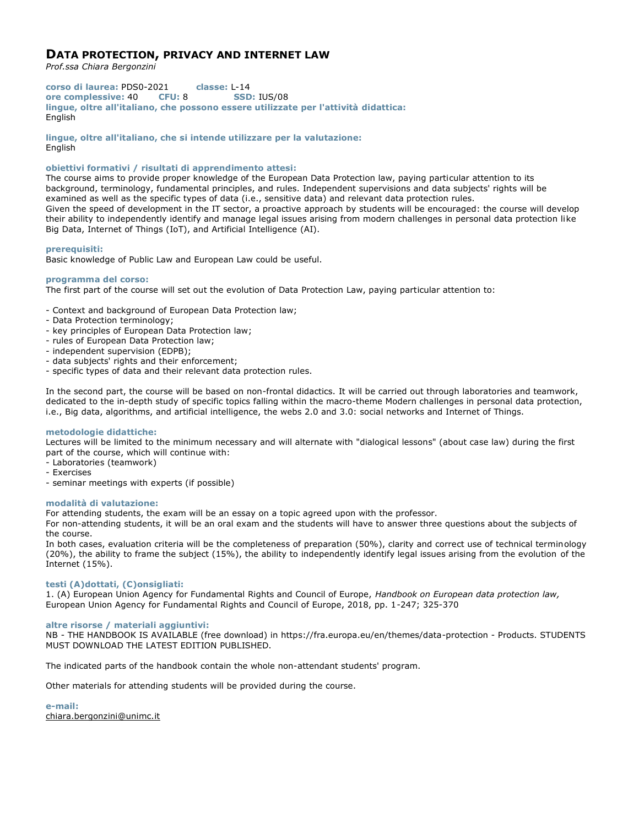# **DATA PROTECTION, PRIVACY AND INTERNET LAW**

*Prof.ssa Chiara Bergonzini*

**corso di laurea:** PDS0-2021 **classe:** L-14 **ore complessive:** 40 **CFU:** 8 **SSD:** IUS/08 **lingue, oltre all'italiano, che possono essere utilizzate per l'attività didattica:** English

**lingue, oltre all'italiano, che si intende utilizzare per la valutazione:** English

## **obiettivi formativi / risultati di apprendimento attesi:**

The course aims to provide proper knowledge of the European Data Protection law, paying particular attention to its background, terminology, fundamental principles, and rules. Independent supervisions and data subjects' rights will be examined as well as the specific types of data (i.e., sensitive data) and relevant data protection rules. Given the speed of development in the IT sector, a proactive approach by students will be encouraged: the course will develop their ability to independently identify and manage legal issues arising from modern challenges in personal data protection like Big Data, Internet of Things (IoT), and Artificial Intelligence (AI).

## **prerequisiti:**

Basic knowledge of Public Law and European Law could be useful.

## **programma del corso:**

The first part of the course will set out the evolution of Data Protection Law, paying particular attention to:

- Context and background of European Data Protection law;
- Data Protection terminology;
- key principles of European Data Protection law;
- rules of European Data Protection law;
- independent supervision (EDPB);
- data subjects' rights and their enforcement;
- specific types of data and their relevant data protection rules.

In the second part, the course will be based on non-frontal didactics. It will be carried out through laboratories and teamwork, dedicated to the in-depth study of specific topics falling within the macro-theme Modern challenges in personal data protection, i.e., Big data, algorithms, and artificial intelligence, the webs 2.0 and 3.0: social networks and Internet of Things.

## **metodologie didattiche:**

Lectures will be limited to the minimum necessary and will alternate with "dialogical lessons" (about case law) during the first part of the course, which will continue with:

- Laboratories (teamwork)
- Exercises
- seminar meetings with experts (if possible)

#### **modalità di valutazione:**

For attending students, the exam will be an essay on a topic agreed upon with the professor.

For non-attending students, it will be an oral exam and the students will have to answer three questions about the subjects of the course.

In both cases, evaluation criteria will be the completeness of preparation (50%), clarity and correct use of technical terminology (20%), the ability to frame the subject (15%), the ability to independently identify legal issues arising from the evolution of the Internet (15%).

## **testi (A)dottati, (C)onsigliati:**

1. (A) European Union Agency for Fundamental Rights and Council of Europe, *Handbook on European data protection law,*  European Union Agency for Fundamental Rights and Council of Europe, 2018, pp. 1-247; 325-370

#### **altre risorse / materiali aggiuntivi:**

NB - THE HANDBOOK IS AVAILABLE (free download) in https://fra.europa.eu/en/themes/data-protection - Products. STUDENTS MUST DOWNLOAD THE LATEST EDITION PUBLISHED.

The indicated parts of the handbook contain the whole non-attendant students' program.

Other materials for attending students will be provided during the course.

**e-mail:** chiara.bergonzini@unimc.it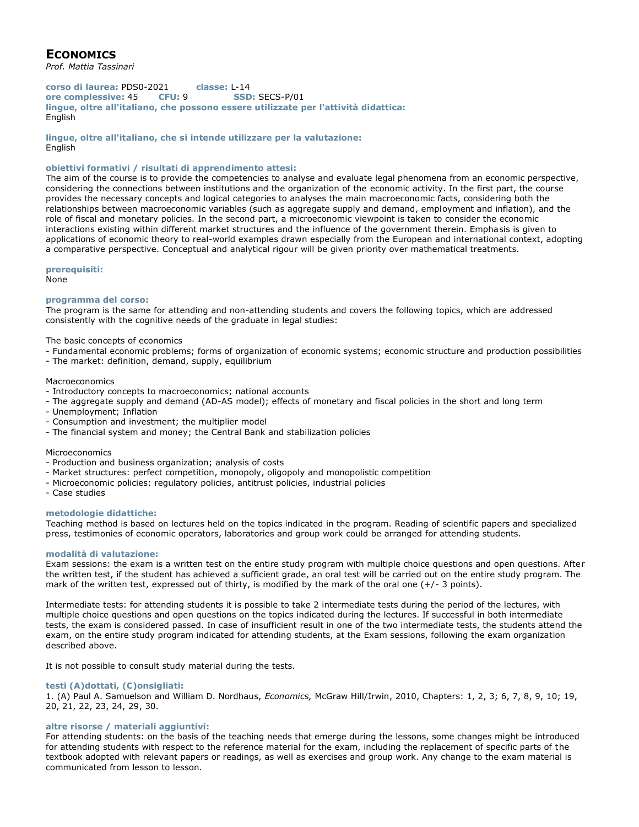# **ECONOMICS**

*Prof. Mattia Tassinari*

**corso di laurea:** PDS0-2021 **classe:** L-14 **ore complessive:** 45 **CFU:** 9 **SSD:** SECS-P/01 **lingue, oltre all'italiano, che possono essere utilizzate per l'attività didattica:** English

**lingue, oltre all'italiano, che si intende utilizzare per la valutazione:** English

## **obiettivi formativi / risultati di apprendimento attesi:**

The aim of the course is to provide the competencies to analyse and evaluate legal phenomena from an economic perspective, considering the connections between institutions and the organization of the economic activity. In the first part, the course provides the necessary concepts and logical categories to analyses the main macroeconomic facts, considering both the relationships between macroeconomic variables (such as aggregate supply and demand, employment and inflation), and the role of fiscal and monetary policies. In the second part, a microeconomic viewpoint is taken to consider the economic interactions existing within different market structures and the influence of the government therein. Emphasis is given to applications of economic theory to real-world examples drawn especially from the European and international context, adopting a comparative perspective. Conceptual and analytical rigour will be given priority over mathematical treatments.

#### **prerequisiti:**

None

## **programma del corso:**

The program is the same for attending and non-attending students and covers the following topics, which are addressed consistently with the cognitive needs of the graduate in legal studies:

The basic concepts of economics

- Fundamental economic problems; forms of organization of economic systems; economic structure and production possibilities
- The market: definition, demand, supply, equilibrium

#### Macroeconomics

- Introductory concepts to macroeconomics; national accounts
- The aggregate supply and demand (AD-AS model); effects of monetary and fiscal policies in the short and long term
- Unemployment; Inflation
- Consumption and investment; the multiplier model
- The financial system and money; the Central Bank and stabilization policies

#### Microeconomics

- Production and business organization; analysis of costs
- Market structures: perfect competition, monopoly, oligopoly and monopolistic competition
- Microeconomic policies: regulatory policies, antitrust policies, industrial policies
- Case studies

#### **metodologie didattiche:**

Teaching method is based on lectures held on the topics indicated in the program. Reading of scientific papers and specialized press, testimonies of economic operators, laboratories and group work could be arranged for attending students.

#### **modalità di valutazione:**

Exam sessions: the exam is a written test on the entire study program with multiple choice questions and open questions. After the written test, if the student has achieved a sufficient grade, an oral test will be carried out on the entire study program. The mark of the written test, expressed out of thirty, is modified by the mark of the oral one (+/- 3 points).

Intermediate tests: for attending students it is possible to take 2 intermediate tests during the period of the lectures, with multiple choice questions and open questions on the topics indicated during the lectures. If successful in both intermediate tests, the exam is considered passed. In case of insufficient result in one of the two intermediate tests, the students attend the exam, on the entire study program indicated for attending students, at the Exam sessions, following the exam organization described above.

It is not possible to consult study material during the tests.

## **testi (A)dottati, (C)onsigliati:**

1. (A) Paul A. Samuelson and William D. Nordhaus, *Economics,* McGraw Hill/Irwin, 2010, Chapters: 1, 2, 3; 6, 7, 8, 9, 10; 19, 20, 21, 22, 23, 24, 29, 30.

## **altre risorse / materiali aggiuntivi:**

For attending students: on the basis of the teaching needs that emerge during the lessons, some changes might be introduced for attending students with respect to the reference material for the exam, including the replacement of specific parts of the textbook adopted with relevant papers or readings, as well as exercises and group work. Any change to the exam material is communicated from lesson to lesson.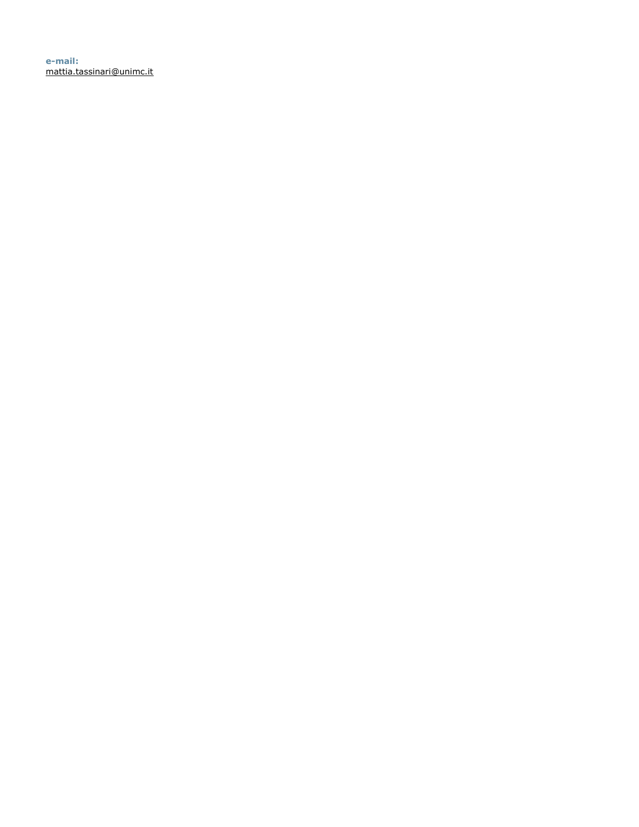**e-mail:** mattia.tassinari@unimc.it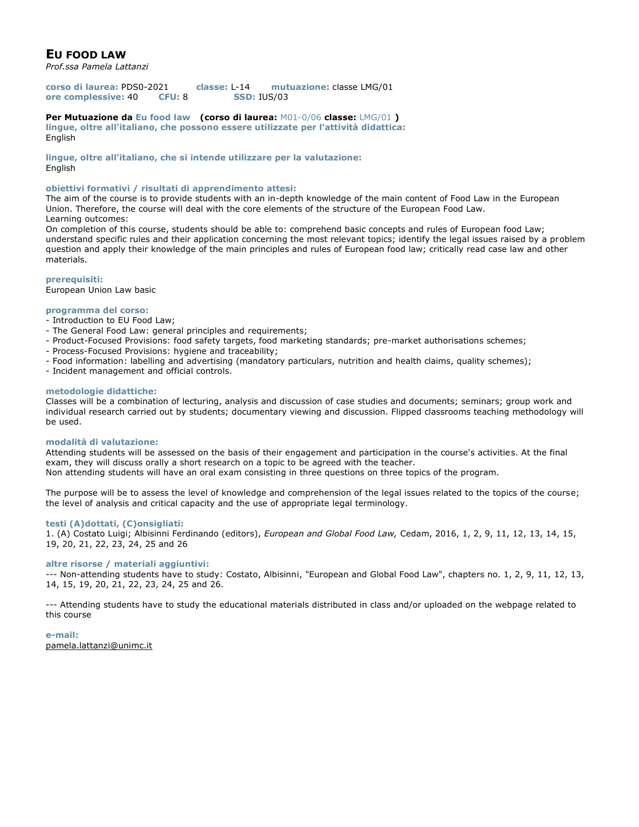# **EU FOOD LAW**

*Prof.ssa Pamela Lattanzi*

**corso di laurea:** PDS0-2021 **classe:** L-14 **mutuazione:** classe LMG/01 **ore complessive:** 40 **CFU:** 8 **SSD:** IUS/03

#### **Per Mutuazione da Eu food law (corso di laurea:** M01-0/06 **classe:** LMG/01 **) lingue, oltre all'italiano, che possono essere utilizzate per l'attività didattica:**

English

**lingue, oltre all'italiano, che si intende utilizzare per la valutazione:** English

## **obiettivi formativi / risultati di apprendimento attesi:**

The aim of the course is to provide students with an in-depth knowledge of the main content of Food Law in the European Union. Therefore, the course will deal with the core elements of the structure of the European Food Law. Learning outcomes:

On completion of this course, students should be able to: comprehend basic concepts and rules of European food Law; understand specific rules and their application concerning the most relevant topics; identify the legal issues raised by a problem question and apply their knowledge of the main principles and rules of European food law; critically read case law and other materials.

## **prerequisiti:**

European Union Law basic

## **programma del corso:**

- Introduction to EU Food Law;
- The General Food Law: general principles and requirements;
- Product-Focused Provisions: food safety targets, food marketing standards; pre-market authorisations schemes;
- Process-Focused Provisions: hygiene and traceability;
- Food information: labelling and advertising (mandatory particulars, nutrition and health claims, quality schemes);
- Incident management and official controls.

## **metodologie didattiche:**

Classes will be a combination of lecturing, analysis and discussion of case studies and documents; seminars; group work and individual research carried out by students; documentary viewing and discussion. Flipped classrooms teaching methodology will be used.

## **modalità di valutazione:**

Attending students will be assessed on the basis of their engagement and participation in the course's activities. At the final exam, they will discuss orally a short research on a topic to be agreed with the teacher.

Non attending students will have an oral exam consisting in three questions on three topics of the program.

The purpose will be to assess the level of knowledge and comprehension of the legal issues related to the topics of the course; the level of analysis and critical capacity and the use of appropriate legal terminology.

## **testi (A)dottati, (C)onsigliati:**

1. (A) Costato Luigi; Albisinni Ferdinando (editors), *European and Global Food Law,* Cedam, 2016, 1, 2, 9, 11, 12, 13, 14, 15, 19, 20, 21, 22, 23, 24, 25 and 26

## **altre risorse / materiali aggiuntivi:**

--- Non-attending students have to study: Costato, Albisinni, "European and Global Food Law", chapters no. 1, 2, 9, 11, 12, 13, 14, 15, 19, 20, 21, 22, 23, 24, 25 and 26.

--- Attending students have to study the educational materials distributed in class and/or uploaded on the webpage related to this course

**e-mail:** pamela.lattanzi@unimc.it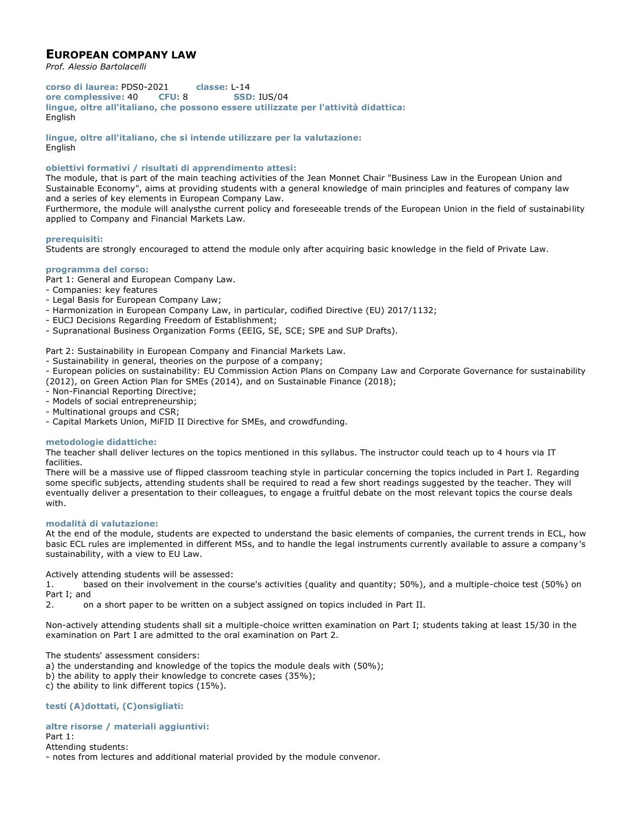# **EUROPEAN COMPANY LAW**

*Prof. Alessio Bartolacelli*

**corso di laurea:** PDS0-2021 **classe:** L-14 **ore complessive:** 40 **CFU:** 8 **SSD:** IUS/04 **lingue, oltre all'italiano, che possono essere utilizzate per l'attività didattica:** English

**lingue, oltre all'italiano, che si intende utilizzare per la valutazione:** English

## **obiettivi formativi / risultati di apprendimento attesi:**

The module, that is part of the main teaching activities of the Jean Monnet Chair "Business Law in the European Union and Sustainable Economy", aims at providing students with a general knowledge of main principles and features of company law and a series of key elements in European Company Law.

Furthermore, the module will analysthe current policy and foreseeable trends of the European Union in the field of sustainability applied to Company and Financial Markets Law.

## **prerequisiti:**

Students are strongly encouraged to attend the module only after acquiring basic knowledge in the field of Private Law.

## **programma del corso:**

Part 1: General and European Company Law.

- Companies: key features
- Legal Basis for European Company Law;
- Harmonization in European Company Law, in particular, codified Directive (EU) 2017/1132;
- EUCJ Decisions Regarding Freedom of Establishment;
- Supranational Business Organization Forms (EEIG, SE, SCE; SPE and SUP Drafts).

Part 2: Sustainability in European Company and Financial Markets Law.

- Sustainability in general, theories on the purpose of a company;

- European policies on sustainability: EU Commission Action Plans on Company Law and Corporate Governance for sustainability (2012), on Green Action Plan for SMEs (2014), and on Sustainable Finance (2018);

- Non-Financial Reporting Directive;
- Models of social entrepreneurship;
- Multinational groups and CSR;
- Capital Markets Union, MiFID II Directive for SMEs, and crowdfunding.

## **metodologie didattiche:**

The teacher shall deliver lectures on the topics mentioned in this syllabus. The instructor could teach up to 4 hours via IT facilities.

There will be a massive use of flipped classroom teaching style in particular concerning the topics included in Part I. Regarding some specific subjects, attending students shall be required to read a few short readings suggested by the teacher. They will eventually deliver a presentation to their colleagues, to engage a fruitful debate on the most relevant topics the course deals with.

#### **modalità di valutazione:**

At the end of the module, students are expected to understand the basic elements of companies, the current trends in ECL, how basic ECL rules are implemented in different MSs, and to handle the legal instruments currently available to assure a company's sustainability, with a view to EU Law.

Actively attending students will be assessed:

1. based on their involvement in the course's activities (quality and quantity; 50%), and a multiple-choice test (50%) on Part I; and

2. on a short paper to be written on a subject assigned on topics included in Part II.

Non-actively attending students shall sit a multiple-choice written examination on Part I; students taking at least 15/30 in the examination on Part I are admitted to the oral examination on Part 2.

The students' assessment considers:

a) the understanding and knowledge of the topics the module deals with (50%);

- b) the ability to apply their knowledge to concrete cases (35%);
- c) the ability to link different topics (15%).

## **testi (A)dottati, (C)onsigliati:**

## **altre risorse / materiali aggiuntivi:**

#### Part 1:

Attending students:

- notes from lectures and additional material provided by the module convenor.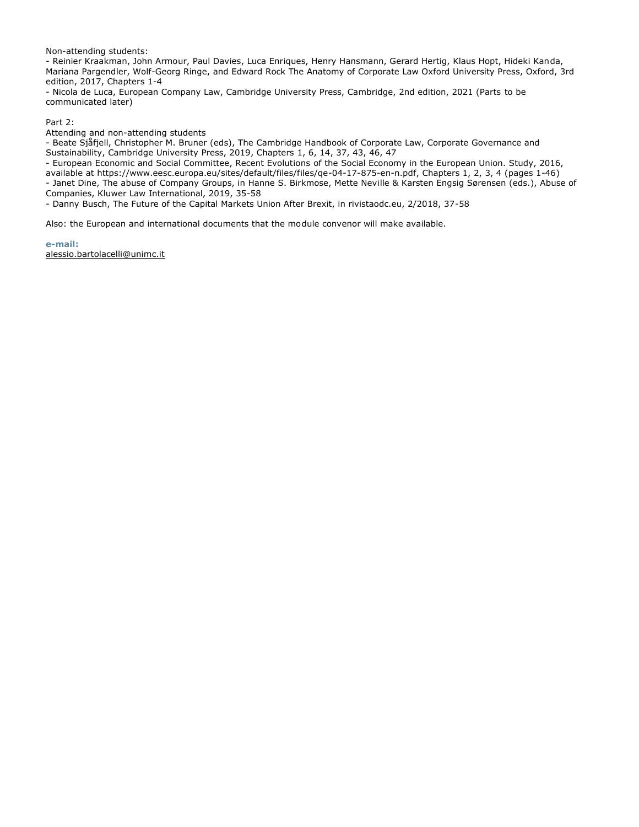Non-attending students:

- Reinier Kraakman, John Armour, Paul Davies, Luca Enriques, Henry Hansmann, Gerard Hertig, Klaus Hopt, Hideki Kanda, Mariana Pargendler, Wolf-Georg Ringe, and Edward Rock The Anatomy of Corporate Law Oxford University Press, Oxford, 3rd edition, 2017, Chapters 1-4

- Nicola de Luca, European Company Law, Cambridge University Press, Cambridge, 2nd edition, 2021 (Parts to be communicated later)

Part 2:

Attending and non-attending students

- Beate Sjåfjell, Christopher M. Bruner (eds), The Cambridge Handbook of Corporate Law, Corporate Governance and Sustainability, Cambridge University Press, 2019, Chapters 1, 6, 14, 37, 43, 46, 47

- European Economic and Social Committee, Recent Evolutions of the Social Economy in the European Union. Study, 2016,

available at https://www.eesc.europa.eu/sites/default/files/files/qe-04-17-875-en-n.pdf, Chapters 1, 2, 3, 4 (pages 1-46) - Janet Dine, The abuse of Company Groups, in Hanne S. Birkmose, Mette Neville & Karsten Engsig Sørensen (eds.), Abuse of Companies, Kluwer Law International, 2019, 35-58

- Danny Busch, The Future of the Capital Markets Union After Brexit, in rivistaodc.eu, 2/2018, 37-58

Also: the European and international documents that the module convenor will make available.

**e-mail:**

alessio.bartolacelli@unimc.it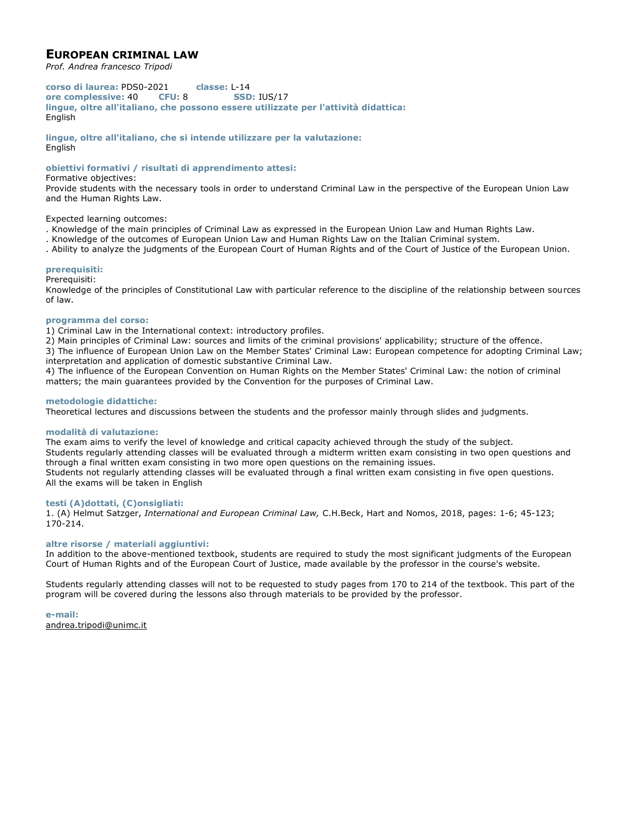# **EUROPEAN CRIMINAL LAW**

*Prof. Andrea francesco Tripodi*

**corso di laurea:** PDS0-2021 **classe:** L-14 **ore complessive:** 40 **CFU:** 8 **SSD:** IUS/17 **lingue, oltre all'italiano, che possono essere utilizzate per l'attività didattica:** English

**lingue, oltre all'italiano, che si intende utilizzare per la valutazione:** English

## **obiettivi formativi / risultati di apprendimento attesi:**

## Formative objectives:

Provide students with the necessary tools in order to understand Criminal Law in the perspective of the European Union Law and the Human Rights Law.

Expected learning outcomes:

- . Knowledge of the main principles of Criminal Law as expressed in the European Union Law and Human Rights Law.
- . Knowledge of the outcomes of European Union Law and Human Rights Law on the Italian Criminal system.
- . Ability to analyze the judgments of the European Court of Human Rights and of the Court of Justice of the European Union.

## **prerequisiti:**

Prerequisiti:

Knowledge of the principles of Constitutional Law with particular reference to the discipline of the relationship between sources of law.

## **programma del corso:**

1) Criminal Law in the International context: introductory profiles.

2) Main principles of Criminal Law: sources and limits of the criminal provisions' applicability; structure of the offence.

3) The influence of European Union Law on the Member States' Criminal Law: European competence for adopting Criminal Law; interpretation and application of domestic substantive Criminal Law.

4) The influence of the European Convention on Human Rights on the Member States' Criminal Law: the notion of criminal matters; the main guarantees provided by the Convention for the purposes of Criminal Law.

## **metodologie didattiche:**

Theoretical lectures and discussions between the students and the professor mainly through slides and judgments.

## **modalità di valutazione:**

The exam aims to verify the level of knowledge and critical capacity achieved through the study of the subject. Students regularly attending classes will be evaluated through a midterm written exam consisting in two open questions and through a final written exam consisting in two more open questions on the remaining issues. Students not regularly attending classes will be evaluated through a final written exam consisting in five open questions.

All the exams will be taken in English

## **testi (A)dottati, (C)onsigliati:**

1. (A) Helmut Satzger, *International and European Criminal Law,* C.H.Beck, Hart and Nomos, 2018, pages: 1-6; 45-123; 170-214.

## **altre risorse / materiali aggiuntivi:**

In addition to the above-mentioned textbook, students are required to study the most significant judgments of the European Court of Human Rights and of the European Court of Justice, made available by the professor in the course's website.

Students regularly attending classes will not to be requested to study pages from 170 to 214 of the textbook. This part of the program will be covered during the lessons also through materials to be provided by the professor.

**e-mail:** andrea.tripodi@unimc.it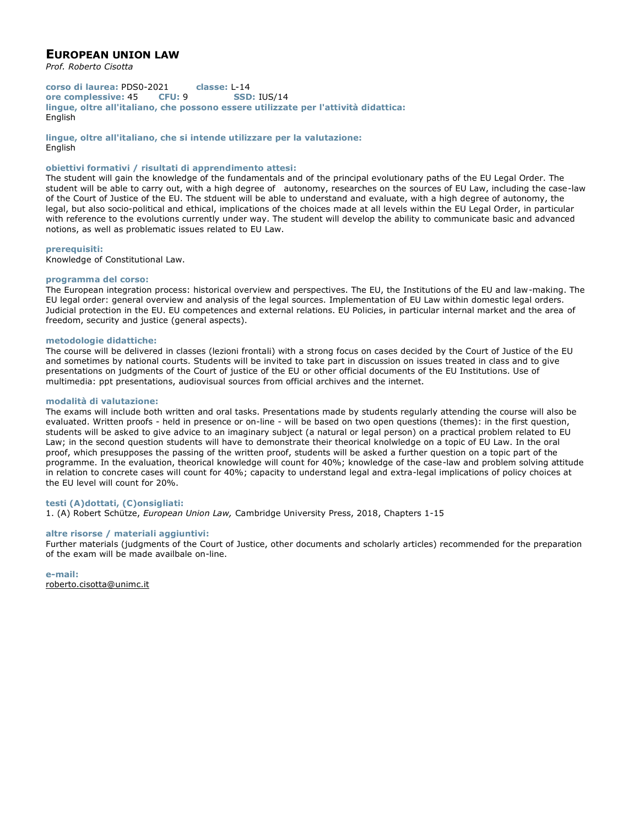# **EUROPEAN UNION LAW**

*Prof. Roberto Cisotta*

**corso di laurea:** PDS0-2021 **classe:** L-14 **ore complessive:** 45 **CFU:** 9 **SSD:** IUS/14 **lingue, oltre all'italiano, che possono essere utilizzate per l'attività didattica:** English

**lingue, oltre all'italiano, che si intende utilizzare per la valutazione: English** 

## **obiettivi formativi / risultati di apprendimento attesi:**

The student will gain the knowledge of the fundamentals and of the principal evolutionary paths of the EU Legal Order. The student will be able to carry out, with a high degree of autonomy, researches on the sources of EU Law, including the case-law of the Court of Justice of the EU. The stduent will be able to understand and evaluate, with a high degree of autonomy, the legal, but also socio-political and ethical, implications of the choices made at all levels within the EU Legal Order, in particular with reference to the evolutions currently under way. The student will develop the ability to communicate basic and advanced notions, as well as problematic issues related to EU Law.

#### **prerequisiti:**

Knowledge of Constitutional Law.

## **programma del corso:**

The European integration process: historical overview and perspectives. The EU, the Institutions of the EU and law-making. The EU legal order: general overview and analysis of the legal sources. Implementation of EU Law within domestic legal orders. Judicial protection in the EU. EU competences and external relations. EU Policies, in particular internal market and the area of freedom, security and justice (general aspects).

#### **metodologie didattiche:**

The course will be delivered in classes (lezioni frontali) with a strong focus on cases decided by the Court of Justice of the EU and sometimes by national courts. Students will be invited to take part in discussion on issues treated in class and to give presentations on judgments of the Court of justice of the EU or other official documents of the EU Institutions. Use of multimedia: ppt presentations, audiovisual sources from official archives and the internet.

## **modalità di valutazione:**

The exams will include both written and oral tasks. Presentations made by students regularly attending the course will also be evaluated. Written proofs - held in presence or on-line - will be based on two open questions (themes): in the first question, students will be asked to give advice to an imaginary subject (a natural or legal person) on a practical problem related to EU Law; in the second question students will have to demonstrate their theorical knolwledge on a topic of EU Law. In the oral proof, which presupposes the passing of the written proof, students will be asked a further question on a topic part of the programme. In the evaluation, theorical knowledge will count for 40%; knowledge of the case-law and problem solving attitude in relation to concrete cases will count for 40%; capacity to understand legal and extra-legal implications of policy choices at the EU level will count for 20%.

## **testi (A)dottati, (C)onsigliati:**

1. (A) Robert Schütze, *European Union Law,* Cambridge University Press, 2018, Chapters 1-15

#### **altre risorse / materiali aggiuntivi:**

Further materials (judgments of the Court of Justice, other documents and scholarly articles) recommended for the preparation of the exam will be made availbale on-line.

**e-mail:** roberto.cisotta@unimc.it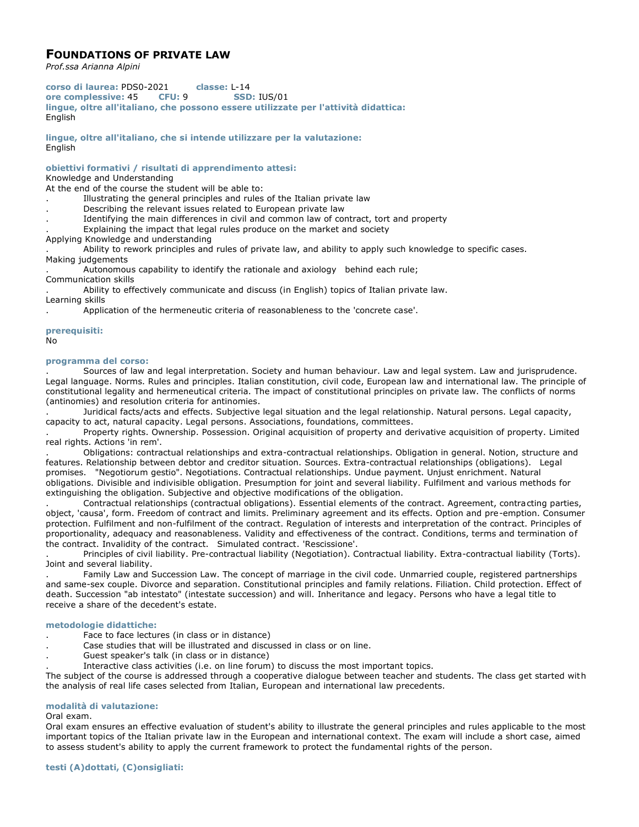# **FOUNDATIONS OF PRIVATE LAW**

*Prof.ssa Arianna Alpini*

**corso di laurea:** PDS0-2021 **classe:** L-14 **ore complessive:** 45 **CFU:** 9 **SSD:** IUS/01 **lingue, oltre all'italiano, che possono essere utilizzate per l'attività didattica:** English

**lingue, oltre all'italiano, che si intende utilizzare per la valutazione:** English

**obiettivi formativi / risultati di apprendimento attesi:**

Knowledge and Understanding

At the end of the course the student will be able to:

- . Illustrating the general principles and rules of the Italian private law
- . Describing the relevant issues related to European private law
- . Identifying the main differences in civil and common law of contract, tort and property
- Explaining the impact that legal rules produce on the market and society

Applying Knowledge and understanding

. Ability to rework principles and rules of private law, and ability to apply such knowledge to specific cases. Making judgements

. Autonomous capability to identify the rationale and axiology behind each rule; Communication skills

. Ability to effectively communicate and discuss (in English) topics of Italian private law. Learning skills

. Application of the hermeneutic criteria of reasonableness to the 'concrete case'.

## **prerequisiti:** No

## **programma del corso:**

. Sources of law and legal interpretation. Society and human behaviour. Law and legal system. Law and jurisprudence. Legal language. Norms. Rules and principles. Italian constitution, civil code, European law and international law. The principle of constitutional legality and hermeneutical criteria. The impact of constitutional principles on private law. The conflicts of norms (antinomies) and resolution criteria for antinomies.

. Juridical facts/acts and effects. Subjective legal situation and the legal relationship. Natural persons. Legal capacity, capacity to act, natural capacity. Legal persons. Associations, foundations, committees.

. Property rights. Ownership. Possession. Original acquisition of property and derivative acquisition of property. Limited real rights. Actions 'in rem'.

. Obligations: contractual relationships and extra-contractual relationships. Obligation in general. Notion, structure and features. Relationship between debtor and creditor situation. Sources. Extra-contractual relationships (obligations). Legal promises. "Negotiorum gestio". Negotiations. Contractual relationships. Undue payment. Unjust enrichment. Natural obligations. Divisible and indivisible obligation. Presumption for joint and several liability. Fulfilment and various methods for extinguishing the obligation. Subjective and objective modifications of the obligation.

. Contractual relationships (contractual obligations). Essential elements of the contract. Agreement, contracting parties, object, 'causa', form. Freedom of contract and limits. Preliminary agreement and its effects. Option and pre-emption. Consumer protection. Fulfilment and non-fulfilment of the contract. Regulation of interests and interpretation of the contract. Principles of proportionality, adequacy and reasonableness. Validity and effectiveness of the contract. Conditions, terms and termination of the contract. Invalidity of the contract. Simulated contract. 'Rescissione'.

. Principles of civil liability. Pre-contractual liability (Negotiation). Contractual liability. Extra-contractual liability (Torts). Joint and several liability.

. Family Law and Succession Law. The concept of marriage in the civil code. Unmarried couple, registered partnerships and same-sex couple. Divorce and separation. Constitutional principles and family relations. Filiation. Child protection. Effect of death. Succession "ab intestato" (intestate succession) and will. Inheritance and legacy. Persons who have a legal title to receive a share of the decedent's estate.

## **metodologie didattiche:**

- Face to face lectures (in class or in distance)
- . Case studies that will be illustrated and discussed in class or on line.
- . Guest speaker's talk (in class or in distance)
- . Interactive class activities (i.e. on line forum) to discuss the most important topics.

The subject of the course is addressed through a cooperative dialogue between teacher and students. The class get started with the analysis of real life cases selected from Italian, European and international law precedents.

## **modalità di valutazione:**

## Oral exam.

Oral exam ensures an effective evaluation of student's ability to illustrate the general principles and rules applicable to the most important topics of the Italian private law in the European and international context. The exam will include a short case, aimed to assess student's ability to apply the current framework to protect the fundamental rights of the person.

**testi (A)dottati, (C)onsigliati:**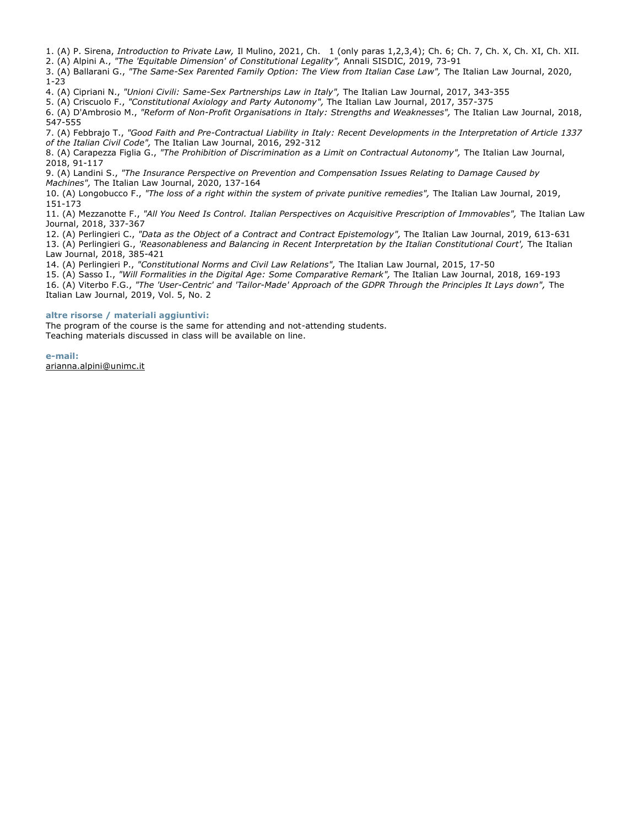1. (A) P. Sirena, *Introduction to Private Law,* Il Mulino, 2021, Ch. 1 (only paras 1,2,3,4); Ch. 6; Ch. 7, Ch. X, Ch. XI, Ch. XII.

2. (A) Alpini A., *"The 'Equitable Dimension' of Constitutional Legality",* Annali SISDIC, 2019, 73-91

3. (A) Ballarani G., *"The Same-Sex Parented Family Option: The View from Italian Case Law",* The Italian Law Journal, 2020, 1-23

4. (A) Cipriani N., *"Unioni Civili: Same-Sex Partnerships Law in Italy",* The Italian Law Journal, 2017, 343-355

5. (A) Criscuolo F., *"Constitutional Axiology and Party Autonomy",* The Italian Law Journal, 2017, 357-375

6. (A) D'Ambrosio M., *"Reform of Non-Profit Organisations in Italy: Strengths and Weaknesses",* The Italian Law Journal, 2018, 547-555

7. (A) Febbrajo T., *"Good Faith and Pre-Contractual Liability in Italy: Recent Developments in the Interpretation of Article 1337 of the Italian Civil Code",* The Italian Law Journal, 2016, 292-312

8. (A) Carapezza Figlia G., *"The Prohibition of Discrimination as a Limit on Contractual Autonomy",* The Italian Law Journal, 2018, 91-117

9. (A) Landini S., *"The Insurance Perspective on Prevention and Compensation Issues Relating to Damage Caused by Machines",* The Italian Law Journal, 2020, 137-164

10. (A) Longobucco F., *"The loss of a right within the system of private punitive remedies",* The Italian Law Journal, 2019, 151-173

11. (A) Mezzanotte F., *"All You Need Is Control. Italian Perspectives on Acquisitive Prescription of Immovables",* The Italian Law Journal, 2018, 337-367

12. (A) Perlingieri C., *"Data as the Object of a Contract and Contract Epistemology",* The Italian Law Journal, 2019, 613-631 13. (A) Perlingieri G., *'Reasonableness and Balancing in Recent Interpretation by the Italian Constitutional Court',* The Italian Law Journal, 2018, 385-421

14. (A) Perlingieri P., *"Constitutional Norms and Civil Law Relations",* The Italian Law Journal, 2015, 17-50

15. (A) Sasso I., *"Will Formalities in the Digital Age: Some Comparative Remark",* The Italian Law Journal, 2018, 169-193 16. (A) Viterbo F.G., "The 'User-Centric' and 'Tailor-Made' Approach of the GDPR Through the Principles It Lays down", The Italian Law Journal, 2019, Vol. 5, No. 2

## **altre risorse / materiali aggiuntivi:**

The program of the course is the same for attending and not-attending students. Teaching materials discussed in class will be available on line.

**e-mail:** arianna.alpini@unimc.it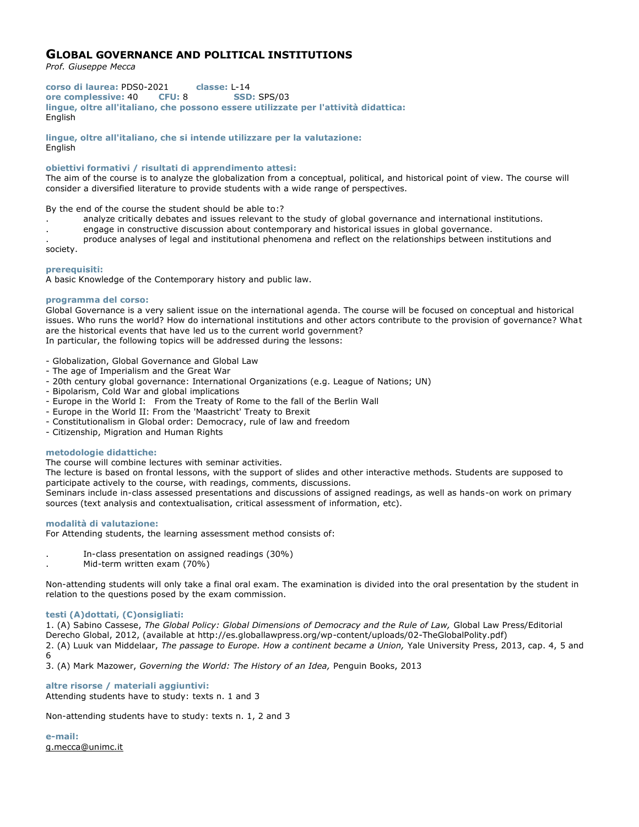# **GLOBAL GOVERNANCE AND POLITICAL INSTITUTIONS**

*Prof. Giuseppe Mecca*

**corso di laurea:** PDS0-2021 **classe:** L-14 **ore complessive:** 40 **CFU:** 8 **SSD:** SPS/03 **lingue, oltre all'italiano, che possono essere utilizzate per l'attività didattica:** English

**lingue, oltre all'italiano, che si intende utilizzare per la valutazione: English** 

## **obiettivi formativi / risultati di apprendimento attesi:**

The aim of the course is to analyze the globalization from a conceptual, political, and historical point of view. The course will consider a diversified literature to provide students with a wide range of perspectives.

By the end of the course the student should be able to:?

- . analyze critically debates and issues relevant to the study of global governance and international institutions.
- . engage in constructive discussion about contemporary and historical issues in global governance.
- . produce analyses of legal and institutional phenomena and reflect on the relationships between institutions and

society.

## **prerequisiti:**

A basic Knowledge of the Contemporary history and public law.

## **programma del corso:**

Global Governance is a very salient issue on the international agenda. The course will be focused on conceptual and historical issues. Who runs the world? How do international institutions and other actors contribute to the provision of governance? What are the historical events that have led us to the current world government? In particular, the following topics will be addressed during the lessons:

- Globalization, Global Governance and Global Law

- The age of Imperialism and the Great War
- 20th century global governance: International Organizations (e.g. League of Nations; UN)
- Bipolarism, Cold War and global implications
- Europe in the World I: From the Treaty of Rome to the fall of the Berlin Wall
- Europe in the World II: From the 'Maastricht' Treaty to Brexit
- Constitutionalism in Global order: Democracy, rule of law and freedom
- Citizenship, Migration and Human Rights

## **metodologie didattiche:**

The course will combine lectures with seminar activities.

The lecture is based on frontal lessons, with the support of slides and other interactive methods. Students are supposed to participate actively to the course, with readings, comments, discussions.

Seminars include in-class assessed presentations and discussions of assigned readings, as well as hands-on work on primary sources (text analysis and contextualisation, critical assessment of information, etc).

#### **modalità di valutazione:**

For Attending students, the learning assessment method consists of:

- . In-class presentation on assigned readings (30%)
- . Mid-term written exam (70%)

Non-attending students will only take a final oral exam. The examination is divided into the oral presentation by the student in relation to the questions posed by the exam commission.

## **testi (A)dottati, (C)onsigliati:**

1. (A) Sabino Cassese, *The Global Policy: Global Dimensions of Democracy and the Rule of Law,* Global Law Press/Editorial Derecho Global, 2012, (available at http://es.globallawpress.org/wp-content/uploads/02-TheGlobalPolity.pdf) 2. (A) Luuk van Middelaar, *The passage to Europe. How a continent became a Union,* Yale University Press, 2013, cap. 4, 5 and 6

3. (A) Mark Mazower, *Governing the World: The History of an Idea,* Penguin Books, 2013

#### **altre risorse / materiali aggiuntivi:** Attending students have to study: texts n. 1 and 3

Non-attending students have to study: texts n. 1, 2 and 3

**e-mail:** g.mecca@unimc.it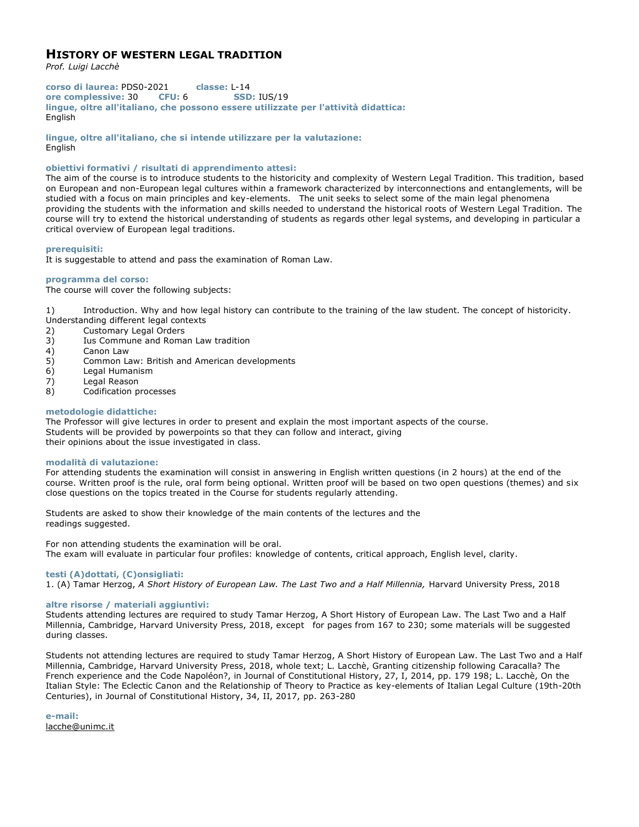# **HISTORY OF WESTERN LEGAL TRADITION**

*Prof. Luigi Lacchè*

**corso di laurea:** PDS0-2021 **classe:** L-14 **ore complessive:** 30 **CFU:** 6 **SSD:** IUS/19 **lingue, oltre all'italiano, che possono essere utilizzate per l'attività didattica:** English

**lingue, oltre all'italiano, che si intende utilizzare per la valutazione:** English

## **obiettivi formativi / risultati di apprendimento attesi:**

The aim of the course is to introduce students to the historicity and complexity of Western Legal Tradition. This tradition, based on European and non-European legal cultures within a framework characterized by interconnections and entanglements, will be studied with a focus on main principles and key-elements. The unit seeks to select some of the main legal phenomena providing the students with the information and skills needed to understand the historical roots of Western Legal Tradition. The course will try to extend the historical understanding of students as regards other legal systems, and developing in particular a critical overview of European legal traditions.

## **prerequisiti:**

It is suggestable to attend and pass the examination of Roman Law.

## **programma del corso:**

The course will cover the following subjects:

1) Introduction. Why and how legal history can contribute to the training of the law student. The concept of historicity. Understanding different legal contexts

- 2) Customary Legal Orders
- 3) Ius Commune and Roman Law tradition
- 4) Canon Law
- 5) Common Law: British and American developments
- 6) Legal Humanism
- 7) Legal Reason
- 8) Codification processes

#### **metodologie didattiche:**

The Professor will give lectures in order to present and explain the most important aspects of the course. Students will be provided by powerpoints so that they can follow and interact, giving their opinions about the issue investigated in class.

#### **modalità di valutazione:**

For attending students the examination will consist in answering in English written questions (in 2 hours) at the end of the course. Written proof is the rule, oral form being optional. Written proof will be based on two open questions (themes) and six close questions on the topics treated in the Course for students regularly attending.

Students are asked to show their knowledge of the main contents of the lectures and the readings suggested.

For non attending students the examination will be oral. The exam will evaluate in particular four profiles: knowledge of contents, critical approach, English level, clarity.

## **testi (A)dottati, (C)onsigliati:**

1. (A) Tamar Herzog, *A Short History of European Law. The Last Two and a Half Millennia,* Harvard University Press, 2018

## **altre risorse / materiali aggiuntivi:**

Students attending lectures are required to study Tamar Herzog, A Short History of European Law. The Last Two and a Half Millennia, Cambridge, Harvard University Press, 2018, except for pages from 167 to 230; some materials will be suggested during classes.

Students not attending lectures are required to study Tamar Herzog, A Short History of European Law. The Last Two and a Half Millennia, Cambridge, Harvard University Press, 2018, whole text; L. Lacchè, Granting citizenship following Caracalla? The French experience and the Code Napoléon?, in Journal of Constitutional History, 27, I, 2014, pp. 179 198; L. Lacchè, On the Italian Style: The Eclectic Canon and the Relationship of Theory to Practice as key-elements of Italian Legal Culture (19th-20th Centuries), in Journal of Constitutional History, 34, II, 2017, pp. 263-280

**e-mail:** lacche@unimc.it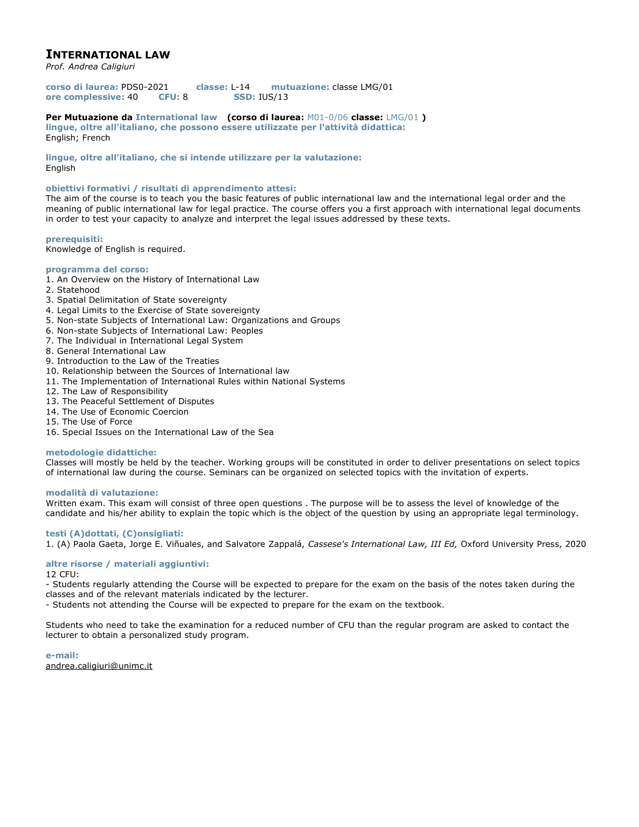# **INTERNATIONAL LAW**

*Prof. Andrea Caligiuri*

**corso di laurea:** PDS0-2021 **classe:** L-14 **mutuazione:** classe LMG/01 **ore complessive:** 40 **CFU:** 8 **SSD:** IUS/13

**Per Mutuazione da International law (corso di laurea:** M01-0/06 **classe:** LMG/01 **) lingue, oltre all'italiano, che possono essere utilizzate per l'attività didattica:** English; French

**lingue, oltre all'italiano, che si intende utilizzare per la valutazione:** English

## **obiettivi formativi / risultati di apprendimento attesi:**

The aim of the course is to teach you the basic features of public international law and the international legal order and the meaning of public international law for legal practice. The course offers you a first approach with international legal documents in order to test your capacity to analyze and interpret the legal issues addressed by these texts.

## **prerequisiti:**

Knowledge of English is required.

## **programma del corso:**

- 1. An Overview on the History of International Law
- 2. Statehood
- 3. Spatial Delimitation of State sovereignty
- 4. Legal Limits to the Exercise of State sovereignty
- 5. Non-state Subjects of International Law: Organizations and Groups
- 6. Non-state Subjects of International Law: Peoples
- 7. The Individual in International Legal System
- 8. General International Law
- 9. Introduction to the Law of the Treaties
- 10. Relationship between the Sources of International law
- 11. The Implementation of International Rules within National Systems
- 12. The Law of Responsibility
- 13. The Peaceful Settlement of Disputes
- 14. The Use of Economic Coercion
- 15. The Use of Force
- 16. Special Issues on the International Law of the Sea

#### **metodologie didattiche:**

Classes will mostly be held by the teacher. Working groups will be constituted in order to deliver presentations on select topics of international law during the course. Seminars can be organized on selected topics with the invitation of experts.

## **modalità di valutazione:**

Written exam. This exam will consist of three open questions . The purpose will be to assess the level of knowledge of the candidate and his/her ability to explain the topic which is the object of the question by using an appropriate legal terminology.

## **testi (A)dottati, (C)onsigliati:**

1. (A) Paola Gaeta, Jorge E. Viñuales, and Salvatore Zappalá, *Cassese's International Law, III Ed,* Oxford University Press, 2020

## **altre risorse / materiali aggiuntivi:**

12 CFU:

- Students regularly attending the Course will be expected to prepare for the exam on the basis of the notes taken during the classes and of the relevant materials indicated by the lecturer.

- Students not attending the Course will be expected to prepare for the exam on the textbook.

Students who need to take the examination for a reduced number of CFU than the regular program are asked to contact the lecturer to obtain a personalized study program.

**e-mail:** andrea.caligiuri@unimc.it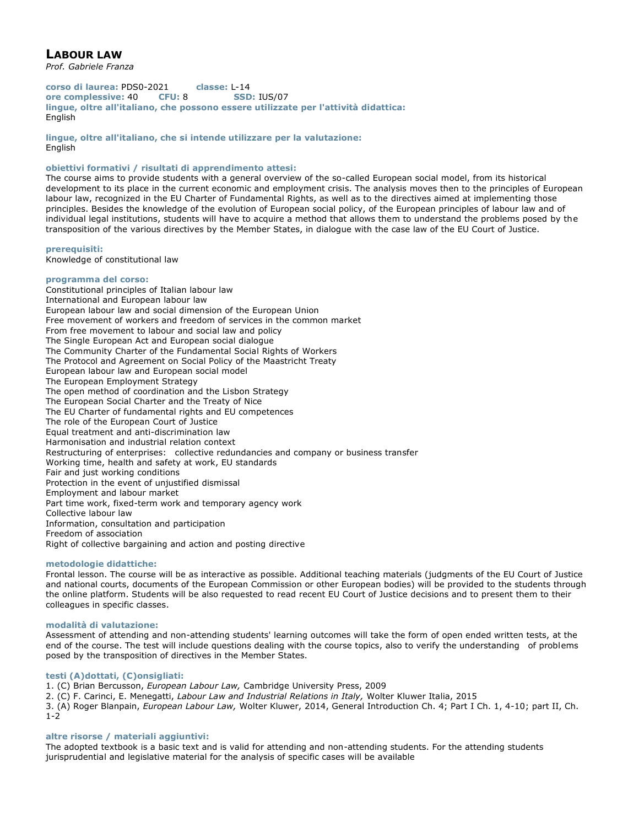# **LABOUR LAW**

*Prof. Gabriele Franza*

**corso di laurea:** PDS0-2021 **classe:** L-14 **ore complessive:** 40 **CFU:** 8 **SSD:** IUS/07 **lingue, oltre all'italiano, che possono essere utilizzate per l'attività didattica:** English

**lingue, oltre all'italiano, che si intende utilizzare per la valutazione:** English

## **obiettivi formativi / risultati di apprendimento attesi:**

The course aims to provide students with a general overview of the so-called European social model, from its historical development to its place in the current economic and employment crisis. The analysis moves then to the principles of European labour law, recognized in the EU Charter of Fundamental Rights, as well as to the directives aimed at implementing those principles. Besides the knowledge of the evolution of European social policy, of the European principles of labour law and of individual legal institutions, students will have to acquire a method that allows them to understand the problems posed by the transposition of the various directives by the Member States, in dialogue with the case law of the EU Court of Justice.

**prerequisiti:**

Knowledge of constitutional law

## **programma del corso:**

Constitutional principles of Italian labour law International and European labour law European labour law and social dimension of the European Union Free movement of workers and freedom of services in the common market From free movement to labour and social law and policy The Single European Act and European social dialogue The Community Charter of the Fundamental Social Rights of Workers The Protocol and Agreement on Social Policy of the Maastricht Treaty European labour law and European social model The European Employment Strategy The open method of coordination and the Lisbon Strategy The European Social Charter and the Treaty of Nice The EU Charter of fundamental rights and EU competences The role of the European Court of Justice Equal treatment and anti-discrimination law Harmonisation and industrial relation context Restructuring of enterprises: collective redundancies and company or business transfer Working time, health and safety at work, EU standards Fair and just working conditions Protection in the event of unjustified dismissal Employment and labour market Part time work, fixed-term work and temporary agency work Collective labour law Information, consultation and participation Freedom of association Right of collective bargaining and action and posting directive

## **metodologie didattiche:**

Frontal lesson. The course will be as interactive as possible. Additional teaching materials (judgments of the EU Court of Justice and national courts, documents of the European Commission or other European bodies) will be provided to the students through the online platform. Students will be also requested to read recent EU Court of Justice decisions and to present them to their colleagues in specific classes.

## **modalità di valutazione:**

Assessment of attending and non-attending students' learning outcomes will take the form of open ended written tests, at the end of the course. The test will include questions dealing with the course topics, also to verify the understanding of problems posed by the transposition of directives in the Member States.

## **testi (A)dottati, (C)onsigliati:**

1. (C) Brian Bercusson, *European Labour Law,* Cambridge University Press, 2009

2. (C) F. Carinci, E. Menegatti, *Labour Law and Industrial Relations in Italy,* Wolter Kluwer Italia, 2015

3. (A) Roger Blanpain, *European Labour Law,* Wolter Kluwer, 2014, General Introduction Ch. 4; Part I Ch. 1, 4-10; part II, Ch. 1-2

## **altre risorse / materiali aggiuntivi:**

The adopted textbook is a basic text and is valid for attending and non-attending students. For the attending students jurisprudential and legislative material for the analysis of specific cases will be available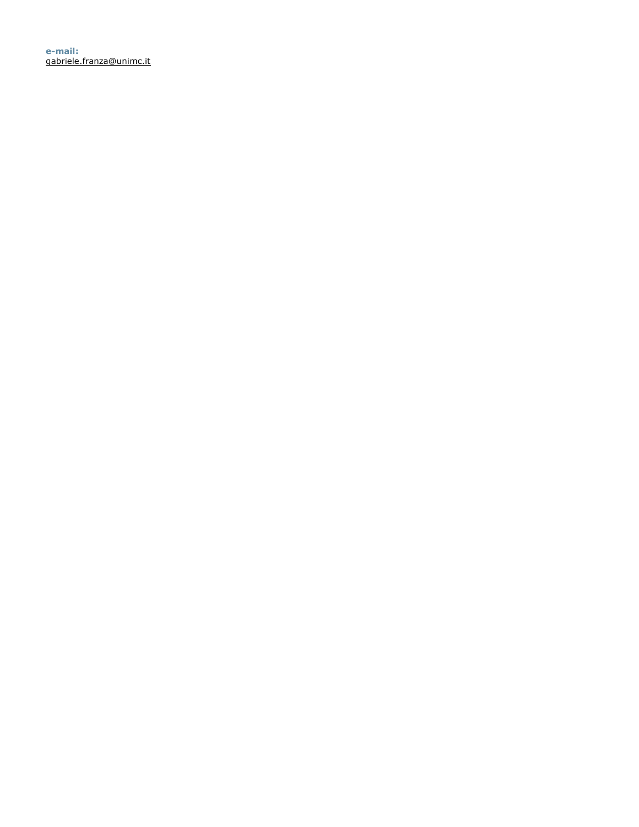**e-mail:** gabriele.franza@unimc.it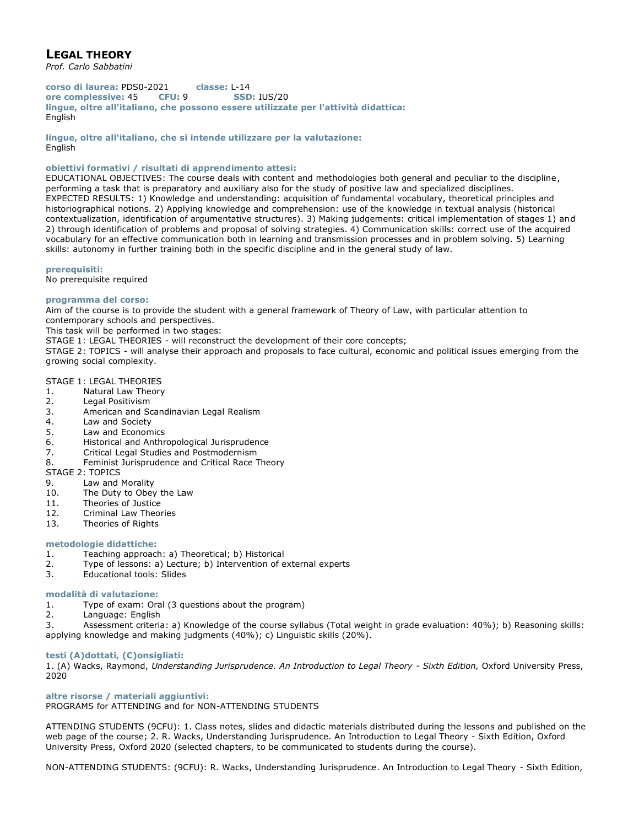# **LEGAL THEORY**

*Prof. Carlo Sabbatini*

**corso di laurea:** PDS0-2021 **classe:** L-14 **ore complessive:** 45 **CFU:** 9 **SSD:** IUS/20 **lingue, oltre all'italiano, che possono essere utilizzate per l'attività didattica:** English

**lingue, oltre all'italiano, che si intende utilizzare per la valutazione:** English

## **obiettivi formativi / risultati di apprendimento attesi:**

EDUCATIONAL OBJECTIVES: The course deals with content and methodologies both general and peculiar to the discipline, performing a task that is preparatory and auxiliary also for the study of positive law and specialized disciplines. EXPECTED RESULTS: 1) Knowledge and understanding: acquisition of fundamental vocabulary, theoretical principles and historiographical notions. 2) Applying knowledge and comprehension: use of the knowledge in textual analysis (historical contextualization, identification of argumentative structures). 3) Making judgements: critical implementation of stages 1) and 2) through identification of problems and proposal of solving strategies. 4) Communication skills: correct use of the acquired vocabulary for an effective communication both in learning and transmission processes and in problem solving. 5) Learning skills: autonomy in further training both in the specific discipline and in the general study of law.

## **prerequisiti:**

No prerequisite required

## **programma del corso:**

Aim of the course is to provide the student with a general framework of Theory of Law, with particular attention to contemporary schools and perspectives.

This task will be performed in two stages:

STAGE 1: LEGAL THEORIES - will reconstruct the development of their core concepts;

STAGE 2: TOPICS - will analyse their approach and proposals to face cultural, economic and political issues emerging from the growing social complexity.

## STAGE 1: LEGAL THEORIES

- 1. Natural Law Theory
- 2. Legal Positivism
- 3. American and Scandinavian Legal Realism
- 4. Law and Society
- 5. Law and Economics
- 6. Historical and Anthropological Jurisprudence
- 7. Critical Legal Studies and Postmodernism
- 8. Feminist Jurisprudence and Critical Race Theory

STAGE 2: TOPICS

- 9. Law and Morality
- 10. The Duty to Obey the Law
- 11. Theories of Justice
- 12. Criminal Law Theories
- 13. Theories of Rights

## **metodologie didattiche:**

- 1. Teaching approach: a) Theoretical; b) Historical
- 2. Type of lessons: a) Lecture; b) Intervention of external experts<br>3. Educational tools: Slides
- 3. Educational tools: Slides

## **modalità di valutazione:**

- 1. Type of exam: Oral (3 questions about the program)
- 2. Language: English

3. Assessment criteria: a) Knowledge of the course syllabus (Total weight in grade evaluation: 40%); b) Reasoning skills: applying knowledge and making judgments (40%); c) Linguistic skills (20%).

#### **testi (A)dottati, (C)onsigliati:**

1. (A) Wacks, Raymond, *Understanding Jurisprudence. An Introduction to Legal Theory - Sixth Edition,* Oxford University Press, 2020

## **altre risorse / materiali aggiuntivi:** PROGRAMS for ATTENDING and for NON-ATTENDING STUDENTS

ATTENDING STUDENTS (9CFU): 1. Class notes, slides and didactic materials distributed during the lessons and published on the web page of the course; 2. R. Wacks, Understanding Jurisprudence. An Introduction to Legal Theory - Sixth Edition, Oxford University Press, Oxford 2020 (selected chapters, to be communicated to students during the course).

NON-ATTENDING STUDENTS: (9CFU): R. Wacks, Understanding Jurisprudence. An Introduction to Legal Theory - Sixth Edition,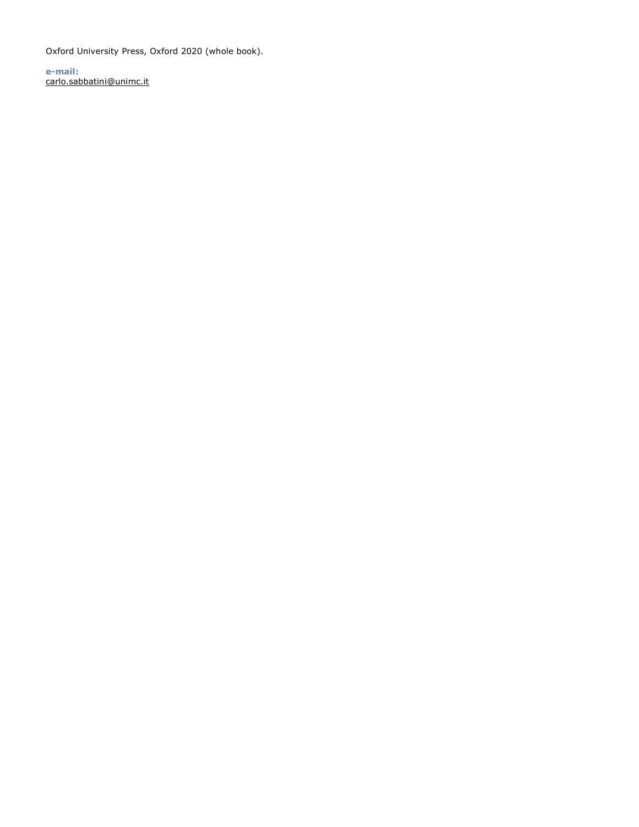Oxford University Press, Oxford 2020 (whole book).

**e-mail:** carlo.sabbatini@unimc.it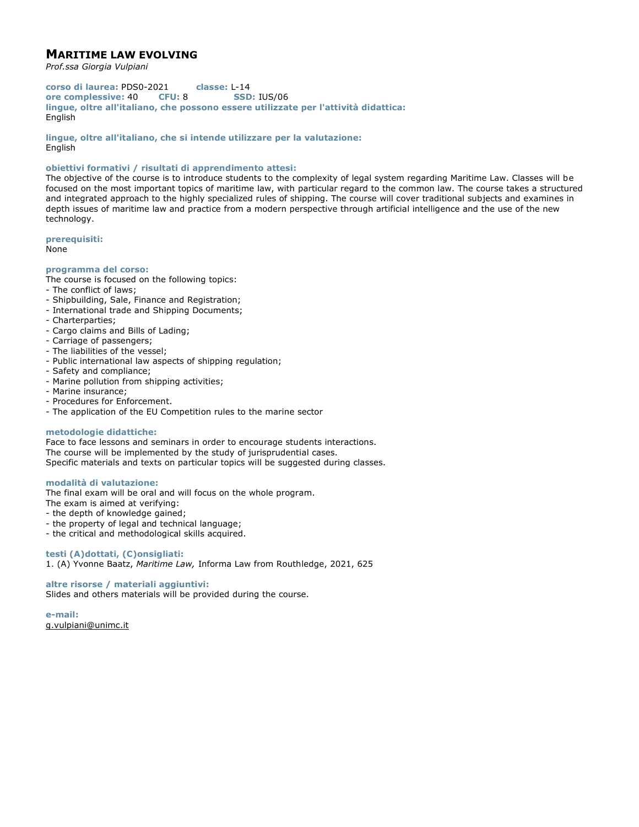# **MARITIME LAW EVOLVING**

*Prof.ssa Giorgia Vulpiani*

**corso di laurea:** PDS0-2021 **classe:** L-14 **ore complessive:** 40 **CFU:** 8 **SSD:** IUS/06 **lingue, oltre all'italiano, che possono essere utilizzate per l'attività didattica:** English

**lingue, oltre all'italiano, che si intende utilizzare per la valutazione:** English

## **obiettivi formativi / risultati di apprendimento attesi:**

The objective of the course is to introduce students to the complexity of legal system regarding Maritime Law. Classes will be focused on the most important topics of maritime law, with particular regard to the common law. The course takes a structured and integrated approach to the highly specialized rules of shipping. The course will cover traditional subjects and examines in depth issues of maritime law and practice from a modern perspective through artificial intelligence and the use of the new technology.

**prerequisiti:**

None

#### **programma del corso:**

The course is focused on the following topics:

- The conflict of laws;
- Shipbuilding, Sale, Finance and Registration;
- International trade and Shipping Documents;
- Charterparties;
- Cargo claims and Bills of Lading;
- Carriage of passengers;
- The liabilities of the vessel;
- Public international law aspects of shipping regulation;
- Safety and compliance;
- Marine pollution from shipping activities;
- Marine insurance;
- Procedures for Enforcement.
- The application of the EU Competition rules to the marine sector

#### **metodologie didattiche:**

Face to face lessons and seminars in order to encourage students interactions. The course will be implemented by the study of jurisprudential cases. Specific materials and texts on particular topics will be suggested during classes.

## **modalità di valutazione:**

The final exam will be oral and will focus on the whole program.

The exam is aimed at verifying:

- the depth of knowledge gained;

- the property of legal and technical language;
- the critical and methodological skills acquired.

## **testi (A)dottati, (C)onsigliati:**

1. (A) Yvonne Baatz, *Maritime Law,* Informa Law from Routhledge, 2021, 625

## **altre risorse / materiali aggiuntivi:**

Slides and others materials will be provided during the course.

**e-mail:** g.vulpiani@unimc.it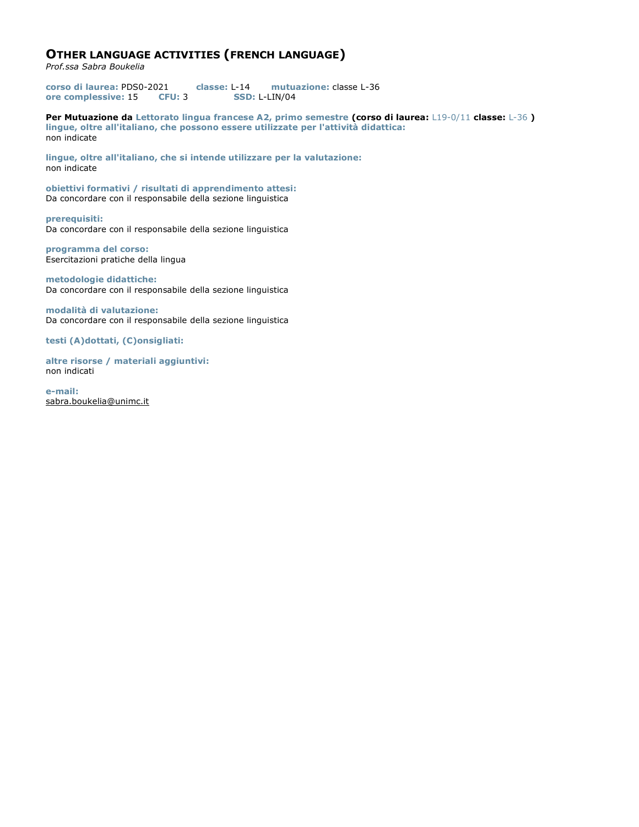# **OTHER LANGUAGE ACTIVITIES (FRENCH LANGUAGE)**

*Prof.ssa Sabra Boukelia*

**corso di laurea:** PDS0-2021 **classe:** L-14 **mutuazione:** classe L-36 **ore complessive:** 15 **CFU:** 3 **SSD:** L-LIN/04

**Per Mutuazione da Lettorato lingua francese A2, primo semestre (corso di laurea:** L19-0/11 **classe:** L-36 **) lingue, oltre all'italiano, che possono essere utilizzate per l'attività didattica:** non indicate

**lingue, oltre all'italiano, che si intende utilizzare per la valutazione:** non indicate

**obiettivi formativi / risultati di apprendimento attesi:** Da concordare con il responsabile della sezione linguistica

**prerequisiti:** Da concordare con il responsabile della sezione linguistica

**programma del corso:** Esercitazioni pratiche della lingua

**metodologie didattiche:** Da concordare con il responsabile della sezione linguistica

**modalità di valutazione:** Da concordare con il responsabile della sezione linguistica

**testi (A)dottati, (C)onsigliati:** 

**altre risorse / materiali aggiuntivi:** non indicati

**e-mail:** sabra.boukelia@unimc.it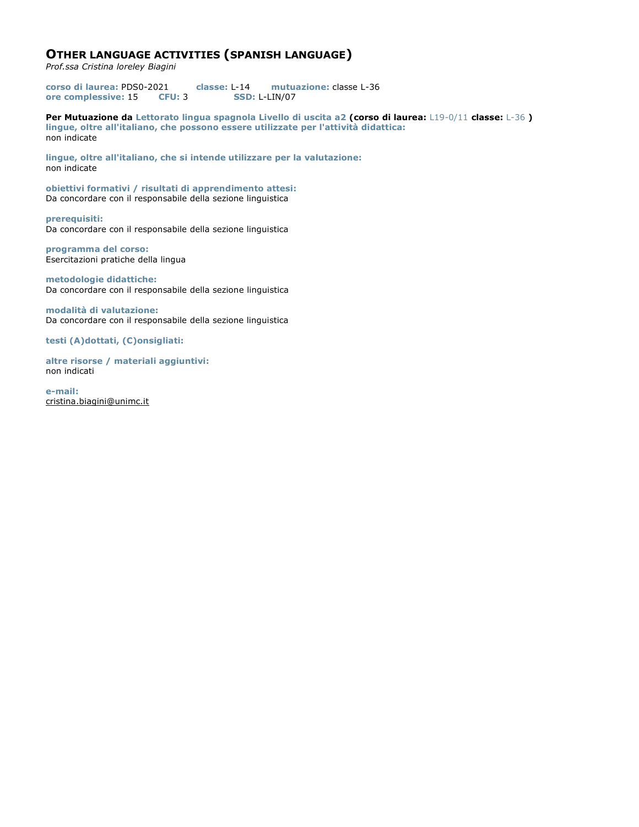# **OTHER LANGUAGE ACTIVITIES (SPANISH LANGUAGE)**

*Prof.ssa Cristina loreley Biagini*

**corso di laurea:** PDS0-2021 **classe:** L-14 **mutuazione:** classe L-36 **ore complessive:** 15 **CFU:** 3 **SSD:** L-LIN/07

**Per Mutuazione da Lettorato lingua spagnola Livello di uscita a2 (corso di laurea:** L19-0/11 **classe:** L-36 **) lingue, oltre all'italiano, che possono essere utilizzate per l'attività didattica:** non indicate

**lingue, oltre all'italiano, che si intende utilizzare per la valutazione:** non indicate

**obiettivi formativi / risultati di apprendimento attesi:** Da concordare con il responsabile della sezione linguistica

**prerequisiti:** Da concordare con il responsabile della sezione linguistica

**programma del corso:** Esercitazioni pratiche della lingua

**metodologie didattiche:** Da concordare con il responsabile della sezione linguistica

**modalità di valutazione:** Da concordare con il responsabile della sezione linguistica

**testi (A)dottati, (C)onsigliati:** 

**altre risorse / materiali aggiuntivi:** non indicati

**e-mail:** cristina.biagini@unimc.it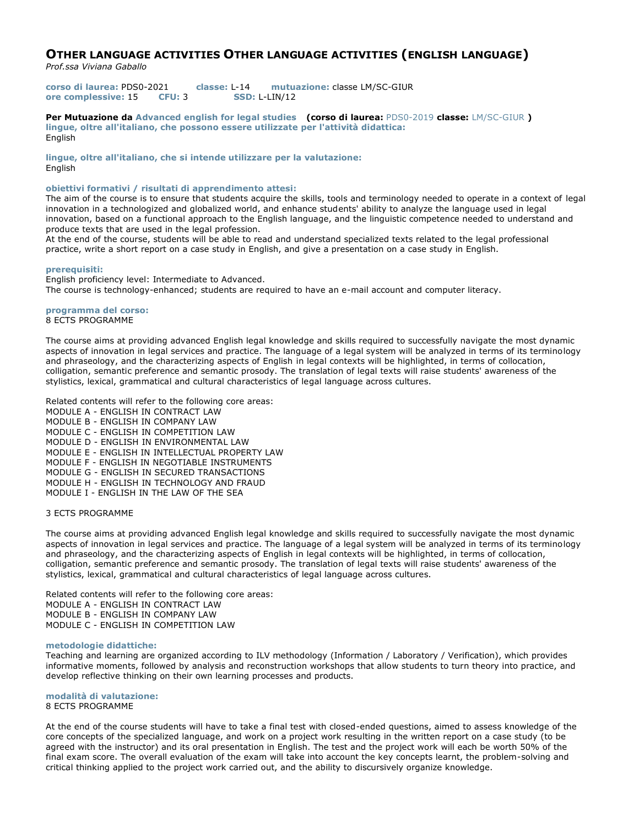# **OTHER LANGUAGE ACTIVITIES OTHER LANGUAGE ACTIVITIES (ENGLISH LANGUAGE)**

*Prof.ssa Viviana Gaballo*

**corso di laurea:** PDS0-2021 **classe:** L-14 **mutuazione:** classe LM/SC-GIUR **ore complessive:** 15 **CFU:** 3 **SSD:** L-LIN/12

**Per Mutuazione da Advanced english for legal studies (corso di laurea:** PDS0-2019 **classe:** LM/SC-GIUR **) lingue, oltre all'italiano, che possono essere utilizzate per l'attività didattica:** English

**lingue, oltre all'italiano, che si intende utilizzare per la valutazione:** English

## **obiettivi formativi / risultati di apprendimento attesi:**

The aim of the course is to ensure that students acquire the skills, tools and terminology needed to operate in a context of legal innovation in a technologized and globalized world, and enhance students' ability to analyze the language used in legal innovation, based on a functional approach to the English language, and the linguistic competence needed to understand and produce texts that are used in the legal profession.

At the end of the course, students will be able to read and understand specialized texts related to the legal professional practice, write a short report on a case study in English, and give a presentation on a case study in English.

#### **prerequisiti:**

English proficiency level: Intermediate to Advanced. The course is technology-enhanced; students are required to have an e-mail account and computer literacy.

#### **programma del corso:** 8 ECTS PROGRAMME

The course aims at providing advanced English legal knowledge and skills required to successfully navigate the most dynamic aspects of innovation in legal services and practice. The language of a legal system will be analyzed in terms of its terminology and phraseology, and the characterizing aspects of English in legal contexts will be highlighted, in terms of collocation, colligation, semantic preference and semantic prosody. The translation of legal texts will raise students' awareness of the stylistics, lexical, grammatical and cultural characteristics of legal language across cultures.

Related contents will refer to the following core areas: MODULE A - ENGLISH IN CONTRACT LAW MODULE B - ENGLISH IN COMPANY LAW MODULE C - ENGLISH IN COMPETITION LAW MODULE D - ENGLISH IN ENVIRONMENTAL LAW MODULE E - ENGLISH IN INTELLECTUAL PROPERTY LAW MODULE F - ENGLISH IN NEGOTIABLE INSTRUMENTS MODULE G - ENGLISH IN SECURED TRANSACTIONS MODULE H - ENGLISH IN TECHNOLOGY AND FRAUD MODULE I - ENGLISH IN THE LAW OF THE SEA

## 3 ECTS PROGRAMME

The course aims at providing advanced English legal knowledge and skills required to successfully navigate the most dynamic aspects of innovation in legal services and practice. The language of a legal system will be analyzed in terms of its terminology and phraseology, and the characterizing aspects of English in legal contexts will be highlighted, in terms of collocation, colligation, semantic preference and semantic prosody. The translation of legal texts will raise students' awareness of the stylistics, lexical, grammatical and cultural characteristics of legal language across cultures.

Related contents will refer to the following core areas: MODULE A - ENGLISH IN CONTRACT LAW MODULE B - ENGLISH IN COMPANY LAW MODULE C - ENGLISH IN COMPETITION LAW

#### **metodologie didattiche:**

Teaching and learning are organized according to ILV methodology (Information / Laboratory / Verification), which provides informative moments, followed by analysis and reconstruction workshops that allow students to turn theory into practice, and develop reflective thinking on their own learning processes and products.

#### **modalità di valutazione:** 8 ECTS PROGRAMME

At the end of the course students will have to take a final test with closed-ended questions, aimed to assess knowledge of the core concepts of the specialized language, and work on a project work resulting in the written report on a case study (to be agreed with the instructor) and its oral presentation in English. The test and the project work will each be worth 50% of the final exam score. The overall evaluation of the exam will take into account the key concepts learnt, the problem-solving and critical thinking applied to the project work carried out, and the ability to discursively organize knowledge.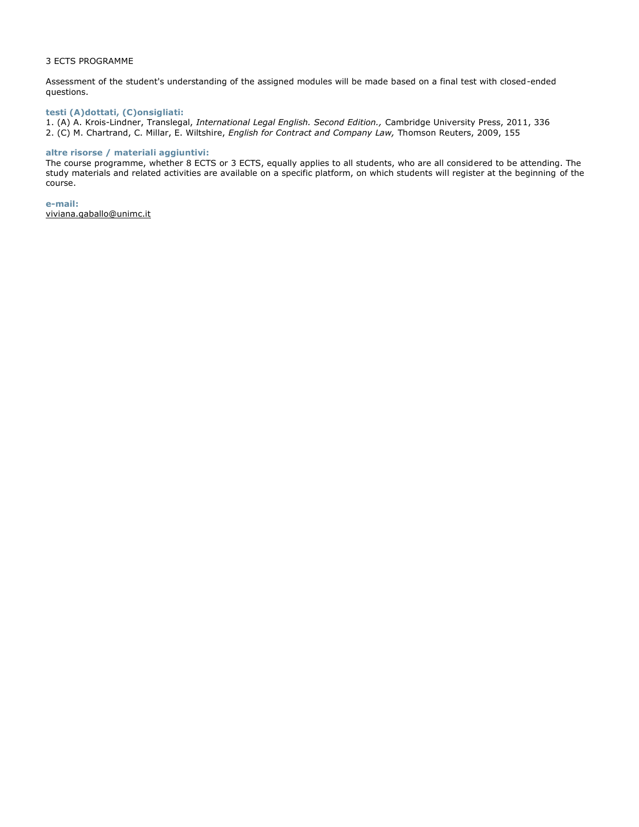## 3 ECTS PROGRAMME

Assessment of the student's understanding of the assigned modules will be made based on a final test with closed-ended questions.

## **testi (A)dottati, (C)onsigliati:**

1. (A) A. Krois-Lindner, Translegal, *International Legal English. Second Edition.,* Cambridge University Press, 2011, 336 2. (C) M. Chartrand, C. Millar, E. Wiltshire, *English for Contract and Company Law,* Thomson Reuters, 2009, 155

## **altre risorse / materiali aggiuntivi:**

The course programme, whether 8 ECTS or 3 ECTS, equally applies to all students, who are all considered to be attending. The study materials and related activities are available on a specific platform, on which students will register at the beginning of the course.

**e-mail:** viviana.gaballo@unimc.it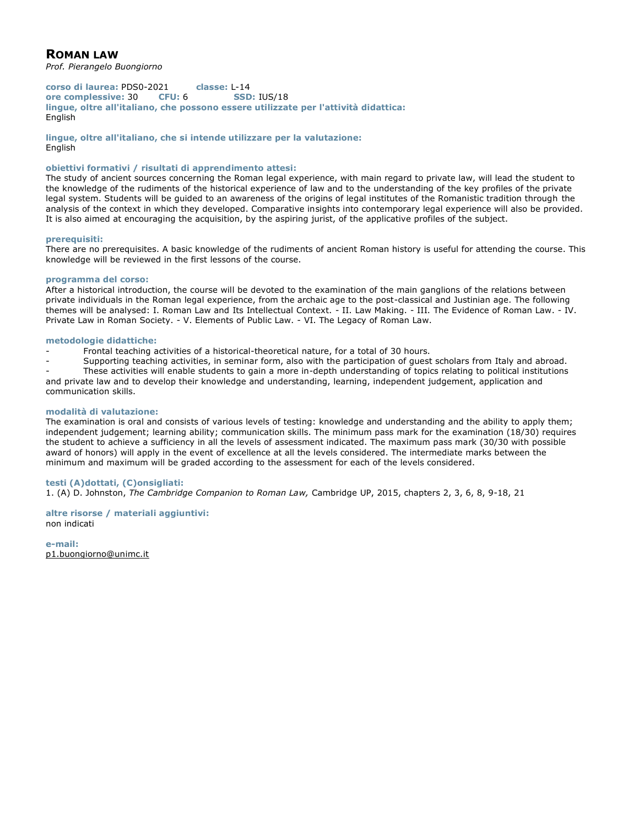# **ROMAN LAW**

*Prof. Pierangelo Buongiorno*

**corso di laurea:** PDS0-2021 **classe:** L-14 **ore complessive:** 30 **CFU:** 6 **SSD:** IUS/18 **lingue, oltre all'italiano, che possono essere utilizzate per l'attività didattica:** English

**lingue, oltre all'italiano, che si intende utilizzare per la valutazione:** English

## **obiettivi formativi / risultati di apprendimento attesi:**

The study of ancient sources concerning the Roman legal experience, with main regard to private law, will lead the student to the knowledge of the rudiments of the historical experience of law and to the understanding of the key profiles of the private legal system. Students will be guided to an awareness of the origins of legal institutes of the Romanistic tradition through the analysis of the context in which they developed. Comparative insights into contemporary legal experience will also be provided. It is also aimed at encouraging the acquisition, by the aspiring jurist, of the applicative profiles of the subject.

## **prerequisiti:**

There are no prerequisites. A basic knowledge of the rudiments of ancient Roman history is useful for attending the course. This knowledge will be reviewed in the first lessons of the course.

## **programma del corso:**

After a historical introduction, the course will be devoted to the examination of the main ganglions of the relations between private individuals in the Roman legal experience, from the archaic age to the post-classical and Justinian age. The following themes will be analysed: I. Roman Law and Its Intellectual Context. - II. Law Making. - III. The Evidence of Roman Law. - IV. Private Law in Roman Society. - V. Elements of Public Law. - VI. The Legacy of Roman Law.

## **metodologie didattiche:**

Frontal teaching activities of a historical-theoretical nature, for a total of 30 hours.

Supporting teaching activities, in seminar form, also with the participation of quest scholars from Italy and abroad.

- These activities will enable students to gain a more in-depth understanding of topics relating to political institutions and private law and to develop their knowledge and understanding, learning, independent judgement, application and communication skills.

## **modalità di valutazione:**

The examination is oral and consists of various levels of testing: knowledge and understanding and the ability to apply them; independent judgement; learning ability; communication skills. The minimum pass mark for the examination (18/30) requires the student to achieve a sufficiency in all the levels of assessment indicated. The maximum pass mark (30/30 with possible award of honors) will apply in the event of excellence at all the levels considered. The intermediate marks between the minimum and maximum will be graded according to the assessment for each of the levels considered.

## **testi (A)dottati, (C)onsigliati:**

1. (A) D. Johnston, *The Cambridge Companion to Roman Law,* Cambridge UP, 2015, chapters 2, 3, 6, 8, 9-18, 21

## **altre risorse / materiali aggiuntivi:** non indicati

**e-mail:** p1.buongiorno@unimc.it